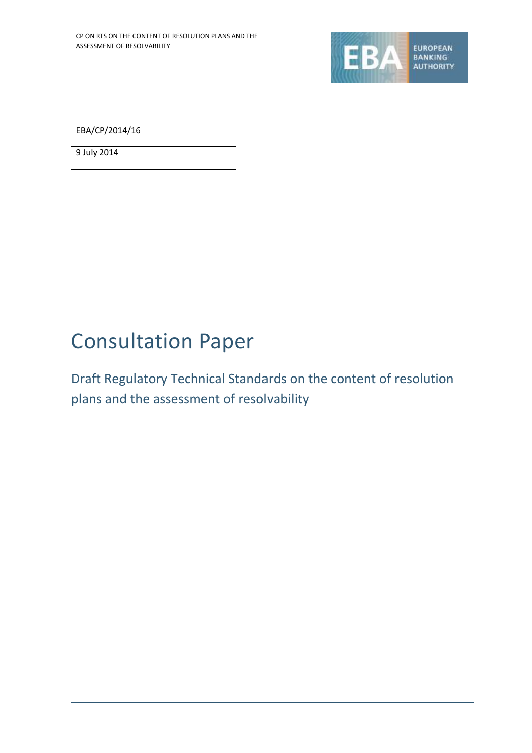

EBA/CP/2014/16

9 July 2014

# Consultation Paper

Draft Regulatory Technical Standards on the content of resolution plans and the assessment of resolvability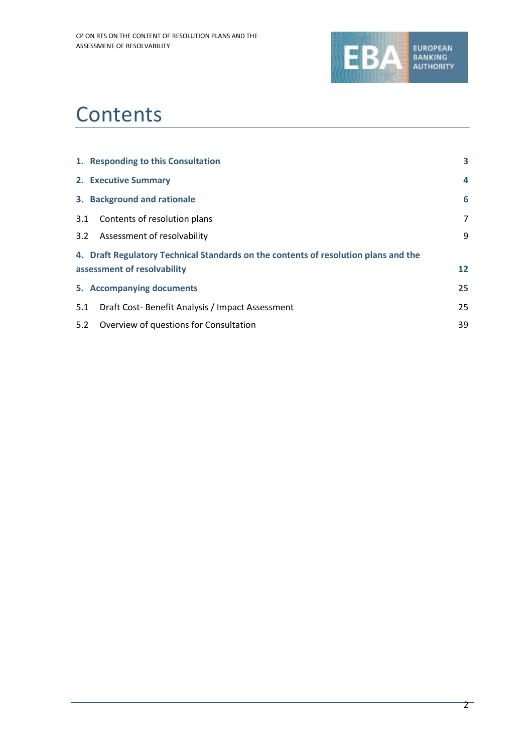

## **Contents**

| 1. Responding to this Consultation                                                  | 3                       |  |  |  |  |  |  |
|-------------------------------------------------------------------------------------|-------------------------|--|--|--|--|--|--|
| 2. Executive Summary                                                                | $\overline{\mathbf{4}}$ |  |  |  |  |  |  |
| 3. Background and rationale                                                         | 6                       |  |  |  |  |  |  |
| 3.1<br>Contents of resolution plans                                                 | 7                       |  |  |  |  |  |  |
| Assessment of resolvability<br>3.2                                                  | 9                       |  |  |  |  |  |  |
| 4. Draft Regulatory Technical Standards on the contents of resolution plans and the |                         |  |  |  |  |  |  |
| assessment of resolvability                                                         | 12                      |  |  |  |  |  |  |
| 5. Accompanying documents                                                           | 25                      |  |  |  |  |  |  |
| 5.1<br>Draft Cost-Benefit Analysis / Impact Assessment                              | 25                      |  |  |  |  |  |  |
| 5.2<br>Overview of questions for Consultation                                       | 39                      |  |  |  |  |  |  |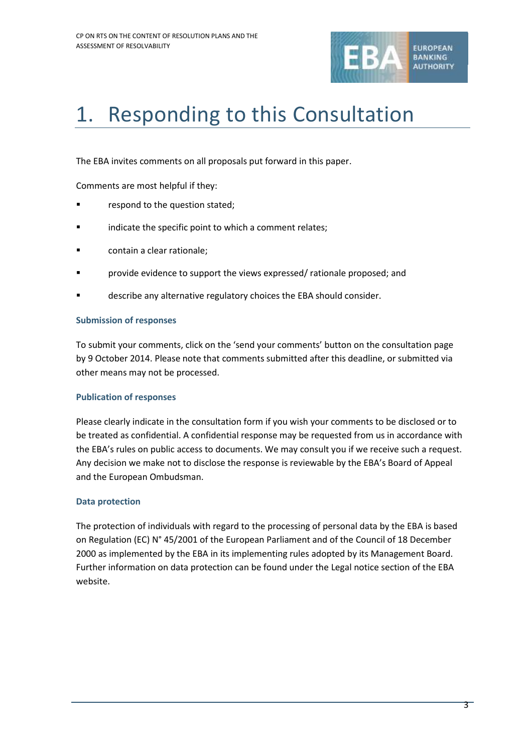

# 1. Responding to this Consultation

The EBA invites comments on all proposals put forward in this paper.

Comments are most helpful if they:

- respond to the question stated;
- indicate the specific point to which a comment relates;
- **Example 2** contain a clear rationale;
- provide evidence to support the views expressed/ rationale proposed; and
- describe any alternative regulatory choices the EBA should consider.

## **Submission of responses**

To submit your comments, click on the 'send your comments' button on the consultation page by 9 October 2014. Please note that comments submitted after this deadline, or submitted via other means may not be processed.

## **Publication of responses**

Please clearly indicate in the consultation form if you wish your comments to be disclosed or to be treated as confidential. A confidential response may be requested from us in accordance with the EBA's rules on public access to documents. We may consult you if we receive such a request. Any decision we make not to disclose the response is reviewable by the EBA's Board of Appeal and the European Ombudsman.

## **Data protection**

The protection of individuals with regard to the processing of personal data by the EBA is based on Regulation (EC) N° 45/2001 of the European Parliament and of the Council of 18 December 2000 as implemented by the EBA in its implementing rules adopted by its Management Board. Further information on data protection can be found under the [Legal notice section](http://eba.europa.eu/legal-notice) of the EBA website.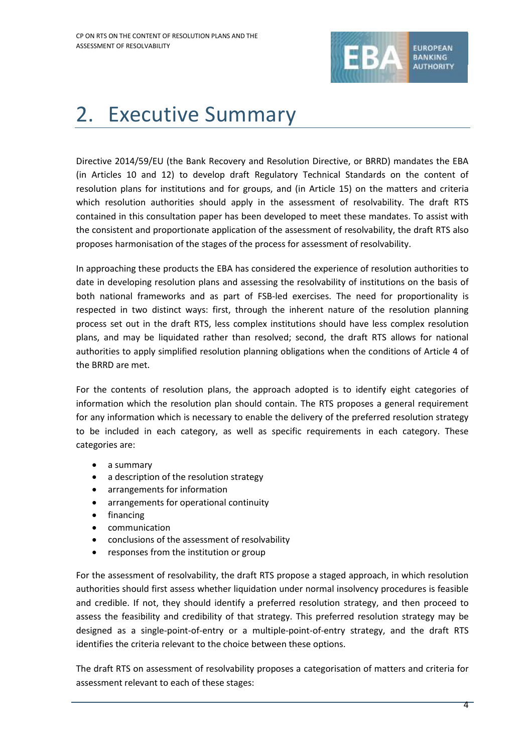

# 2. Executive Summary

Directive 2014/59/EU (the Bank Recovery and Resolution Directive, or BRRD) mandates the EBA (in Articles 10 and 12) to develop draft Regulatory Technical Standards on the content of resolution plans for institutions and for groups, and (in Article 15) on the matters and criteria which resolution authorities should apply in the assessment of resolvability. The draft RTS contained in this consultation paper has been developed to meet these mandates. To assist with the consistent and proportionate application of the assessment of resolvability, the draft RTS also proposes harmonisation of the stages of the process for assessment of resolvability.

In approaching these products the EBA has considered the experience of resolution authorities to date in developing resolution plans and assessing the resolvability of institutions on the basis of both national frameworks and as part of FSB-led exercises. The need for proportionality is respected in two distinct ways: first, through the inherent nature of the resolution planning process set out in the draft RTS, less complex institutions should have less complex resolution plans, and may be liquidated rather than resolved; second, the draft RTS allows for national authorities to apply simplified resolution planning obligations when the conditions of Article 4 of the BRRD are met.

For the contents of resolution plans, the approach adopted is to identify eight categories of information which the resolution plan should contain. The RTS proposes a general requirement for any information which is necessary to enable the delivery of the preferred resolution strategy to be included in each category, as well as specific requirements in each category. These categories are:

- a summary
- a description of the resolution strategy
- arrangements for information
- arrangements for operational continuity
- financing
- communication
- conclusions of the assessment of resolvability
- responses from the institution or group

For the assessment of resolvability, the draft RTS propose a staged approach, in which resolution authorities should first assess whether liquidation under normal insolvency procedures is feasible and credible. If not, they should identify a preferred resolution strategy, and then proceed to assess the feasibility and credibility of that strategy. This preferred resolution strategy may be designed as a single-point-of-entry or a multiple-point-of-entry strategy, and the draft RTS identifies the criteria relevant to the choice between these options.

The draft RTS on assessment of resolvability proposes a categorisation of matters and criteria for assessment relevant to each of these stages: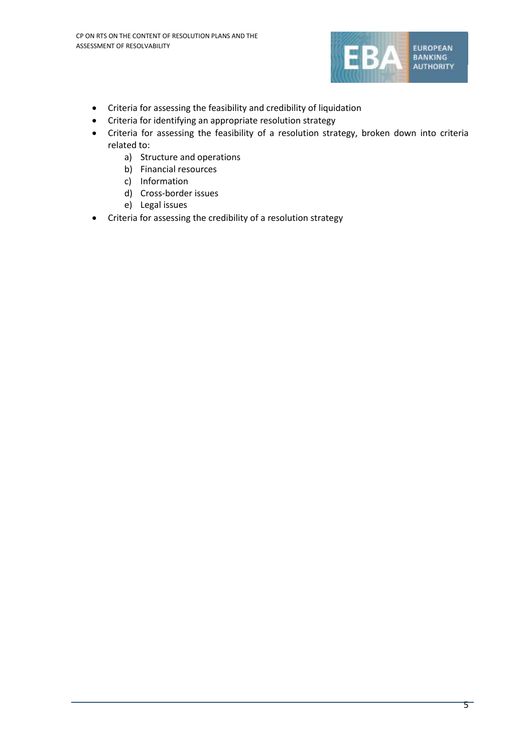

- Criteria for assessing the feasibility and credibility of liquidation
- Criteria for identifying an appropriate resolution strategy
- Criteria for assessing the feasibility of a resolution strategy, broken down into criteria related to:
	- a) Structure and operations
	- b) Financial resources
	- c) Information
	- d) Cross-border issues
	- e) Legal issues
- Criteria for assessing the credibility of a resolution strategy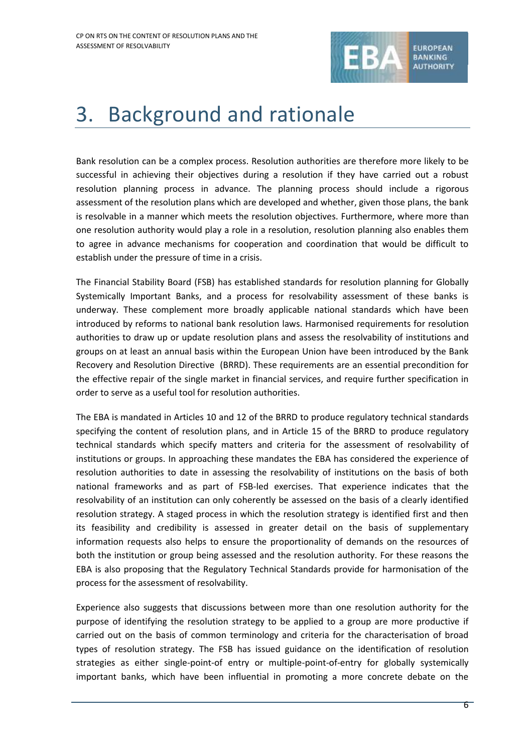

## 3. Background and rationale

Bank resolution can be a complex process. Resolution authorities are therefore more likely to be successful in achieving their objectives during a resolution if they have carried out a robust resolution planning process in advance. The planning process should include a rigorous assessment of the resolution plans which are developed and whether, given those plans, the bank is resolvable in a manner which meets the resolution objectives. Furthermore, where more than one resolution authority would play a role in a resolution, resolution planning also enables them to agree in advance mechanisms for cooperation and coordination that would be difficult to establish under the pressure of time in a crisis.

The Financial Stability Board (FSB) has established standards for resolution planning for Globally Systemically Important Banks, and a process for resolvability assessment of these banks is underway. These complement more broadly applicable national standards which have been introduced by reforms to national bank resolution laws. Harmonised requirements for resolution authorities to draw up or update resolution plans and assess the resolvability of institutions and groups on at least an annual basis within the European Union have been introduced by the Bank Recovery and Resolution Directive (BRRD). These requirements are an essential precondition for the effective repair of the single market in financial services, and require further specification in order to serve as a useful tool for resolution authorities.

The EBA is mandated in Articles 10 and 12 of the BRRD to produce regulatory technical standards specifying the content of resolution plans, and in Article 15 of the BRRD to produce regulatory technical standards which specify matters and criteria for the assessment of resolvability of institutions or groups. In approaching these mandates the EBA has considered the experience of resolution authorities to date in assessing the resolvability of institutions on the basis of both national frameworks and as part of FSB-led exercises. That experience indicates that the resolvability of an institution can only coherently be assessed on the basis of a clearly identified resolution strategy. A staged process in which the resolution strategy is identified first and then its feasibility and credibility is assessed in greater detail on the basis of supplementary information requests also helps to ensure the proportionality of demands on the resources of both the institution or group being assessed and the resolution authority. For these reasons the EBA is also proposing that the Regulatory Technical Standards provide for harmonisation of the process for the assessment of resolvability.

Experience also suggests that discussions between more than one resolution authority for the purpose of identifying the resolution strategy to be applied to a group are more productive if carried out on the basis of common terminology and criteria for the characterisation of broad types of resolution strategy. The FSB has issued guidance on the identification of resolution strategies as either single-point-of entry or multiple-point-of-entry for globally systemically important banks, which have been influential in promoting a more concrete debate on the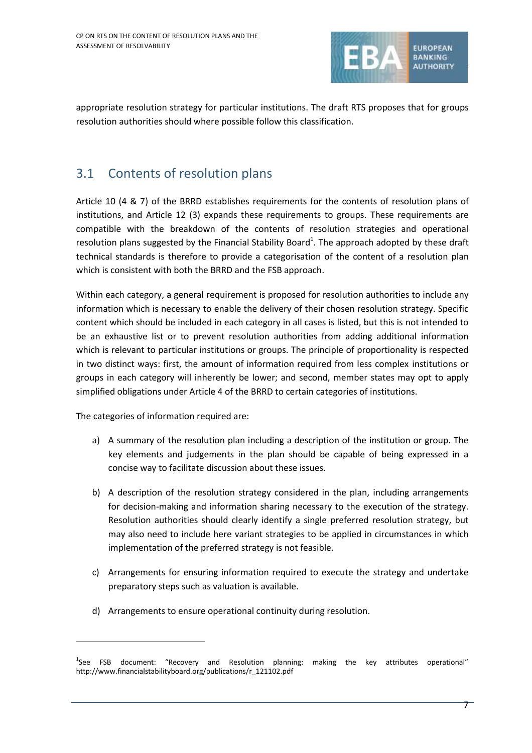

appropriate resolution strategy for particular institutions. The draft RTS proposes that for groups resolution authorities should where possible follow this classification.

## 3.1 Contents of resolution plans

Article 10 (4 & 7) of the BRRD establishes requirements for the contents of resolution plans of institutions, and Article 12 (3) expands these requirements to groups. These requirements are compatible with the breakdown of the contents of resolution strategies and operational resolution plans suggested by the Financial Stability Board<sup>1</sup>. The approach adopted by these draft technical standards is therefore to provide a categorisation of the content of a resolution plan which is consistent with both the BRRD and the FSB approach.

Within each category, a general requirement is proposed for resolution authorities to include any information which is necessary to enable the delivery of their chosen resolution strategy. Specific content which should be included in each category in all cases is listed, but this is not intended to be an exhaustive list or to prevent resolution authorities from adding additional information which is relevant to particular institutions or groups. The principle of proportionality is respected in two distinct ways: first, the amount of information required from less complex institutions or groups in each category will inherently be lower; and second, member states may opt to apply simplified obligations under Article 4 of the BRRD to certain categories of institutions.

The categories of information required are:

1

- a) A summary of the resolution plan including a description of the institution or group. The key elements and judgements in the plan should be capable of being expressed in a concise way to facilitate discussion about these issues.
- b) A description of the resolution strategy considered in the plan, including arrangements for decision-making and information sharing necessary to the execution of the strategy. Resolution authorities should clearly identify a single preferred resolution strategy, but may also need to include here variant strategies to be applied in circumstances in which implementation of the preferred strategy is not feasible.
- c) Arrangements for ensuring information required to execute the strategy and undertake preparatory steps such as valuation is available.
- d) Arrangements to ensure operational continuity during resolution.

<sup>&</sup>lt;sup>1</sup>See FSB document: "Recovery and Resolution planning: making the key attributes operational" http://www.financialstabilityboard.org/publications/r\_121102.pdf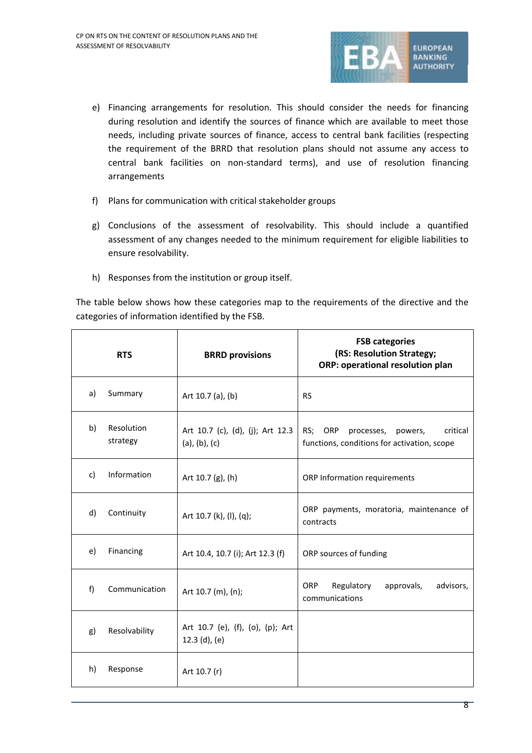

- e) Financing arrangements for resolution. This should consider the needs for financing during resolution and identify the sources of finance which are available to meet those needs, including private sources of finance, access to central bank facilities (respecting the requirement of the BRRD that resolution plans should not assume any access to central bank facilities on non-standard terms), and use of resolution financing arrangements
- f) Plans for communication with critical stakeholder groups
- g) Conclusions of the assessment of resolvability. This should include a quantified assessment of any changes needed to the minimum requirement for eligible liabilities to ensure resolvability.
- h) Responses from the institution or group itself.

The table below shows how these categories map to the requirements of the directive and the categories of information identified by the FSB.

|    | <b>RTS</b>             | <b>BRRD provisions</b>                              | <b>FSB categories</b><br>(RS: Resolution Strategy;<br>ORP: operational resolution plan      |  |  |  |  |  |  |
|----|------------------------|-----------------------------------------------------|---------------------------------------------------------------------------------------------|--|--|--|--|--|--|
| a) | Summary                | Art 10.7 (a), (b)                                   | <b>RS</b>                                                                                   |  |  |  |  |  |  |
| b) | Resolution<br>strategy | Art 10.7 (c), (d), (j); Art 12.3<br>(a), (b), (c)   | RS; ORP<br>critical<br>processes,<br>powers,<br>functions, conditions for activation, scope |  |  |  |  |  |  |
| c) | Information            | Art 10.7 (g), (h)                                   | ORP Information requirements                                                                |  |  |  |  |  |  |
| d) | Continuity             | Art 10.7 (k), (l), (q);                             | ORP payments, moratoria, maintenance of<br>contracts                                        |  |  |  |  |  |  |
| e) | Financing              | Art 10.4, 10.7 (i); Art 12.3 (f)                    | ORP sources of funding                                                                      |  |  |  |  |  |  |
| f) | Communication          | Art 10.7 (m), (n);                                  | <b>ORP</b><br>Regulatory<br>approvals,<br>advisors,<br>communications                       |  |  |  |  |  |  |
| g) | Resolvability          | Art 10.7 (e), (f), (o), (p); Art<br>$12.3$ (d), (e) |                                                                                             |  |  |  |  |  |  |
| h) | Response               | Art 10.7 (r)                                        |                                                                                             |  |  |  |  |  |  |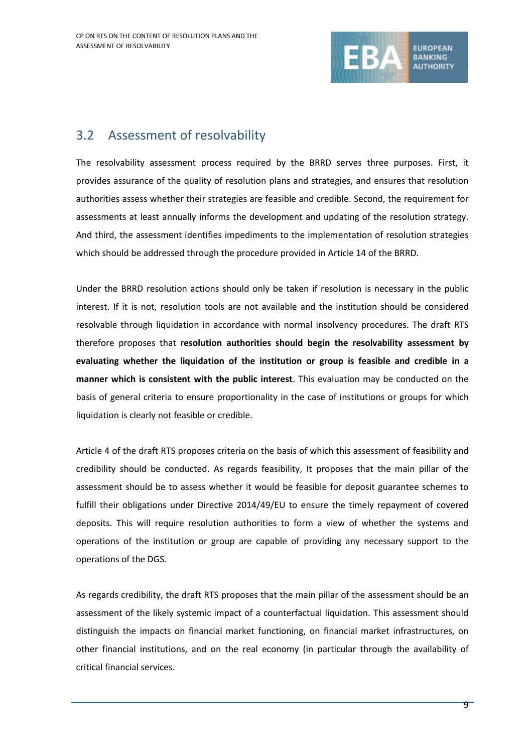

## 3.2 Assessment of resolvability

The resolvability assessment process required by the BRRD serves three purposes. First, it provides assurance of the quality of resolution plans and strategies, and ensures that resolution authorities assess whether their strategies are feasible and credible. Second, the requirement for assessments at least annually informs the development and updating of the resolution strategy. And third, the assessment identifies impediments to the implementation of resolution strategies which should be addressed through the procedure provided in Article 14 of the BRRD.

Under the BRRD resolution actions should only be taken if resolution is necessary in the public interest. If it is not, resolution tools are not available and the institution should be considered resolvable through liquidation in accordance with normal insolvency procedures. The draft RTS therefore proposes that r**esolution authorities should begin the resolvability assessment by evaluating whether the liquidation of the institution or group is feasible and credible in a manner which is consistent with the public interest**. This evaluation may be conducted on the basis of general criteria to ensure proportionality in the case of institutions or groups for which liquidation is clearly not feasible or credible.

Article 4 of the draft RTS proposes criteria on the basis of which this assessment of feasibility and credibility should be conducted. As regards feasibility, It proposes that the main pillar of the assessment should be to assess whether it would be feasible for deposit guarantee schemes to fulfill their obligations under Directive 2014/49/EU to ensure the timely repayment of covered deposits. This will require resolution authorities to form a view of whether the systems and operations of the institution or group are capable of providing any necessary support to the operations of the DGS.

As regards credibility, the draft RTS proposes that the main pillar of the assessment should be an assessment of the likely systemic impact of a counterfactual liquidation. This assessment should distinguish the impacts on financial market functioning, on financial market infrastructures, on other financial institutions, and on the real economy (in particular through the availability of critical financial services.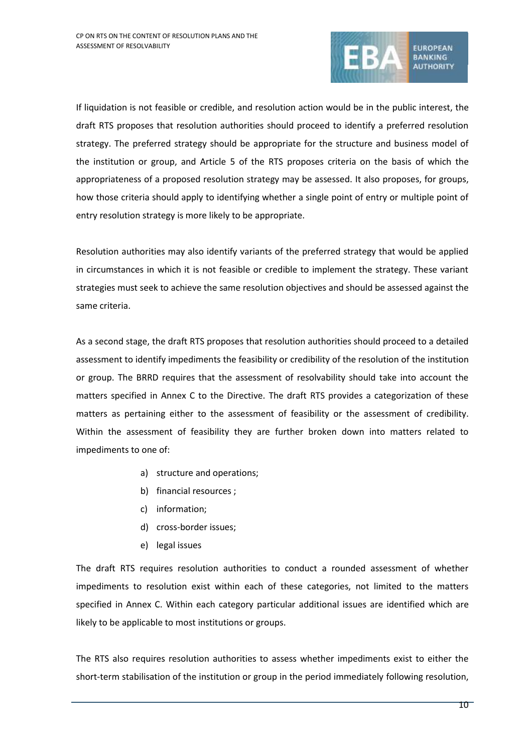

If liquidation is not feasible or credible, and resolution action would be in the public interest, the draft RTS proposes that resolution authorities should proceed to identify a preferred resolution strategy. The preferred strategy should be appropriate for the structure and business model of the institution or group, and Article 5 of the RTS proposes criteria on the basis of which the appropriateness of a proposed resolution strategy may be assessed. It also proposes, for groups, how those criteria should apply to identifying whether a single point of entry or multiple point of entry resolution strategy is more likely to be appropriate.

Resolution authorities may also identify variants of the preferred strategy that would be applied in circumstances in which it is not feasible or credible to implement the strategy. These variant strategies must seek to achieve the same resolution objectives and should be assessed against the same criteria.

As a second stage, the draft RTS proposes that resolution authorities should proceed to a detailed assessment to identify impediments the feasibility or credibility of the resolution of the institution or group. The BRRD requires that the assessment of resolvability should take into account the matters specified in Annex C to the Directive. The draft RTS provides a categorization of these matters as pertaining either to the assessment of feasibility or the assessment of credibility. Within the assessment of feasibility they are further broken down into matters related to impediments to one of:

- a) structure and operations;
- b) financial resources ;
- c) information;
- d) cross-border issues;
- e) legal issues

The draft RTS requires resolution authorities to conduct a rounded assessment of whether impediments to resolution exist within each of these categories, not limited to the matters specified in Annex C. Within each category particular additional issues are identified which are likely to be applicable to most institutions or groups.

The RTS also requires resolution authorities to assess whether impediments exist to either the short-term stabilisation of the institution or group in the period immediately following resolution,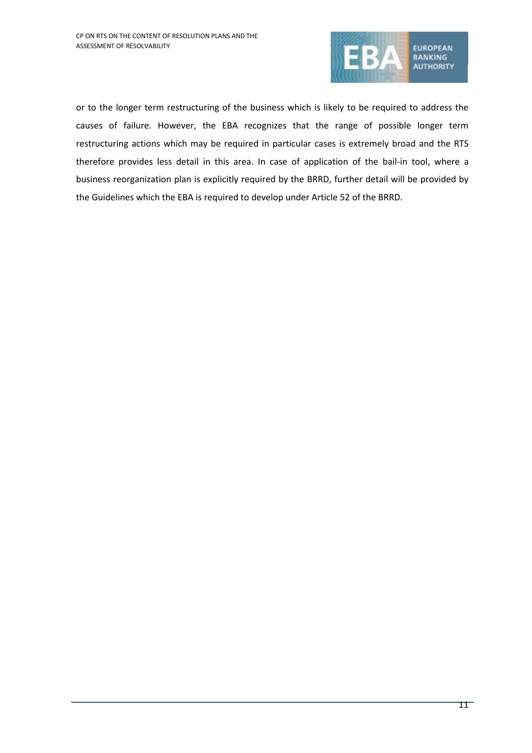

or to the longer term restructuring of the business which is likely to be required to address the causes of failure. However, the EBA recognizes that the range of possible longer term restructuring actions which may be required in particular cases is extremely broad and the RTS therefore provides less detail in this area. In case of application of the bail-in tool, where a business reorganization plan is explicitly required by the BRRD, further detail will be provided by the Guidelines which the EBA is required to develop under Article 52 of the BRRD.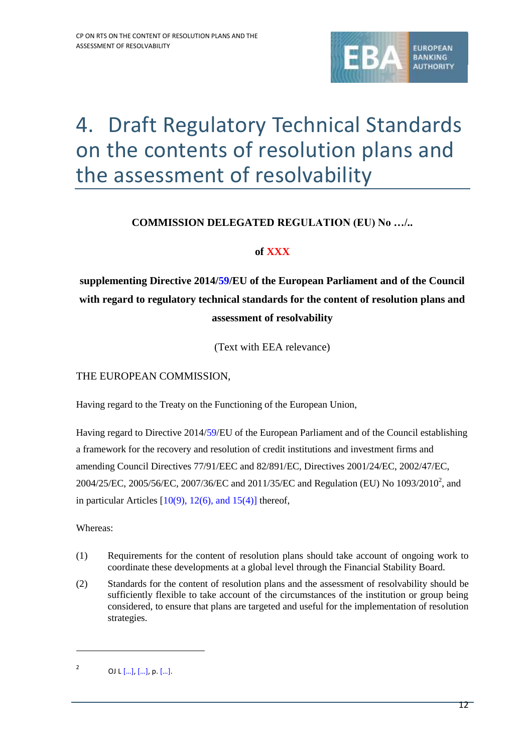

# 4. Draft Regulatory Technical Standards on the contents of resolution plans and the assessment of resolvability

## **COMMISSION DELEGATED REGULATION (EU) No …/..**

## **of XXX**

**supplementing Directive 2014/59/EU of the European Parliament and of the Council with regard to regulatory technical standards for the content of resolution plans and assessment of resolvability**

(Text with EEA relevance)

## THE EUROPEAN COMMISSION,

Having regard to the Treaty on the Functioning of the European Union,

Having regard to Directive 2014/59/EU of the European Parliament and of the Council establishing a framework for the recovery and resolution of credit institutions and investment firms and amending Council Directives 77/91/EEC and 82/891/EC, Directives 2001/24/EC, 2002/47/EC, 2004/25/EC, 2005/56/EC, 2007/36/EC and 2011/35/EC and Regulation (EU) No  $1093/2010^2$ , and in particular Articles  $[10(9), 12(6),$  and  $15(4)]$  thereof,

Whereas:

1

- (1) Requirements for the content of resolution plans should take account of ongoing work to coordinate these developments at a global level through the Financial Stability Board.
- (2) Standards for the content of resolution plans and the assessment of resolvability should be sufficiently flexible to take account of the circumstances of the institution or group being considered, to ensure that plans are targeted and useful for the implementation of resolution strategies.

<sup>2</sup> OJ L […], […], p. […].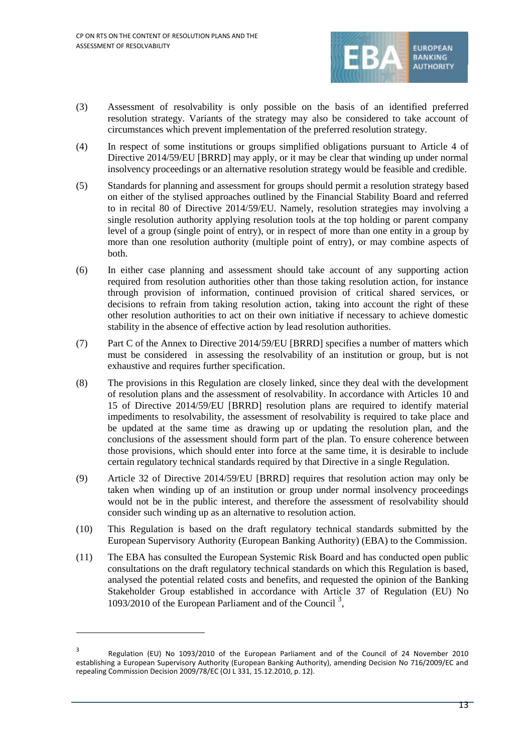

- (3) Assessment of resolvability is only possible on the basis of an identified preferred resolution strategy. Variants of the strategy may also be considered to take account of circumstances which prevent implementation of the preferred resolution strategy.
- (4) In respect of some institutions or groups simplified obligations pursuant to Article 4 of Directive 2014/59/EU [BRRD] may apply, or it may be clear that winding up under normal insolvency proceedings or an alternative resolution strategy would be feasible and credible.
- (5) Standards for planning and assessment for groups should permit a resolution strategy based on either of the stylised approaches outlined by the Financial Stability Board and referred to in recital 80 of Directive 2014/59/EU. Namely, resolution strategies may involving a single resolution authority applying resolution tools at the top holding or parent company level of a group (single point of entry), or in respect of more than one entity in a group by more than one resolution authority (multiple point of entry), or may combine aspects of both.
- (6) In either case planning and assessment should take account of any supporting action required from resolution authorities other than those taking resolution action, for instance through provision of information, continued provision of critical shared services, or decisions to refrain from taking resolution action, taking into account the right of these other resolution authorities to act on their own initiative if necessary to achieve domestic stability in the absence of effective action by lead resolution authorities.
- (7) Part C of the Annex to Directive 2014/59/EU [BRRD] specifies a number of matters which must be considered in assessing the resolvability of an institution or group, but is not exhaustive and requires further specification.
- (8) The provisions in this Regulation are closely linked, since they deal with the development of resolution plans and the assessment of resolvability. In accordance with Articles 10 and 15 of Directive 2014/59/EU [BRRD] resolution plans are required to identify material impediments to resolvability, the assessment of resolvability is required to take place and be updated at the same time as drawing up or updating the resolution plan, and the conclusions of the assessment should form part of the plan. To ensure coherence between those provisions, which should enter into force at the same time, it is desirable to include certain regulatory technical standards required by that Directive in a single Regulation.
- (9) Article 32 of Directive 2014/59/EU [BRRD] requires that resolution action may only be taken when winding up of an institution or group under normal insolvency proceedings would not be in the public interest, and therefore the assessment of resolvability should consider such winding up as an alternative to resolution action.
- (10) This Regulation is based on the draft regulatory technical standards submitted by the European Supervisory Authority (European Banking Authority) (EBA) to the Commission.
- (11) The EBA has consulted the European Systemic Risk Board and has conducted open public consultations on the draft regulatory technical standards on which this Regulation is based, analysed the potential related costs and benefits, and requested the opinion of the Banking Stakeholder Group established in accordance with Article 37 of Regulation (EU) No 1093/2010 of the European Parliament and of the Council<sup>3</sup>,

1

<sup>3</sup> Regulation (EU) No 1093/2010 of the European Parliament and of the Council of 24 November 2010 establishing a European Supervisory Authority (European Banking Authority), amending Decision No 716/2009/EC and repealing Commission Decision 2009/78/EC (OJ L 331, 15.12.2010, p. 12).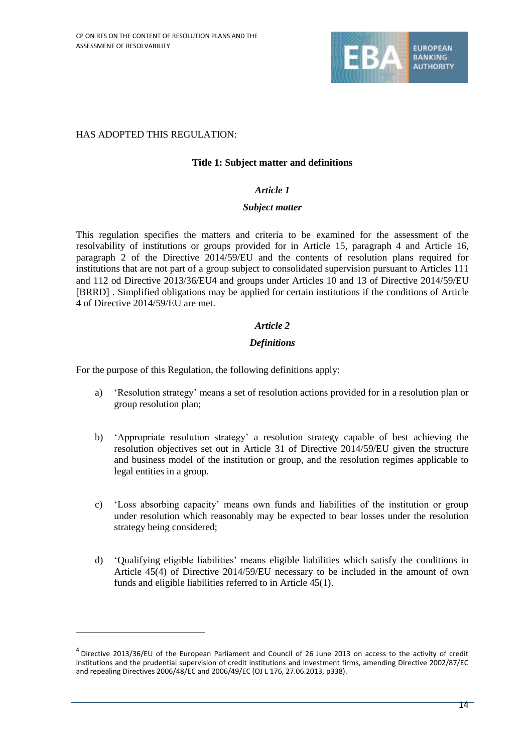

## HAS ADOPTED THIS REGULATION:

1

## **Title 1: Subject matter and definitions**

## *Article 1*

### *Subject matter*

This regulation specifies the matters and criteria to be examined for the assessment of the resolvability of institutions or groups provided for in Article 15, paragraph 4 and Article 16, paragraph 2 of the Directive 2014/59/EU and the contents of resolution plans required for institutions that are not part of a group subject to consolidated supervision pursuant to Articles 111 and 112 od Directive 2013/36/EU4 and groups under Articles 10 and 13 of Directive 2014/59/EU [BRRD] . Simplified obligations may be applied for certain institutions if the conditions of Article 4 of Directive 2014/59/EU are met.

## *Article 2*

## *Definitions*

For the purpose of this Regulation, the following definitions apply:

- a) 'Resolution strategy' means a set of resolution actions provided for in a resolution plan or group resolution plan;
- b) 'Appropriate resolution strategy' a resolution strategy capable of best achieving the resolution objectives set out in Article 31 of Directive 2014/59/EU given the structure and business model of the institution or group, and the resolution regimes applicable to legal entities in a group.
- c) 'Loss absorbing capacity' means own funds and liabilities of the institution or group under resolution which reasonably may be expected to bear losses under the resolution strategy being considered;
- d) 'Qualifying eligible liabilities' means eligible liabilities which satisfy the conditions in Article 45(4) of Directive 2014/59/EU necessary to be included in the amount of own funds and eligible liabilities referred to in Article 45(1).

<sup>&</sup>lt;sup>4</sup> Directive 2013/36/EU of the European Parliament and Council of 26 June 2013 on access to the activity of credit institutions and the prudential supervision of credit institutions and investment firms, amending Directive 2002/87/EC and repealing Directives 2006/48/EC and 2006/49/EC (OJ L 176, 27.06.2013, p338).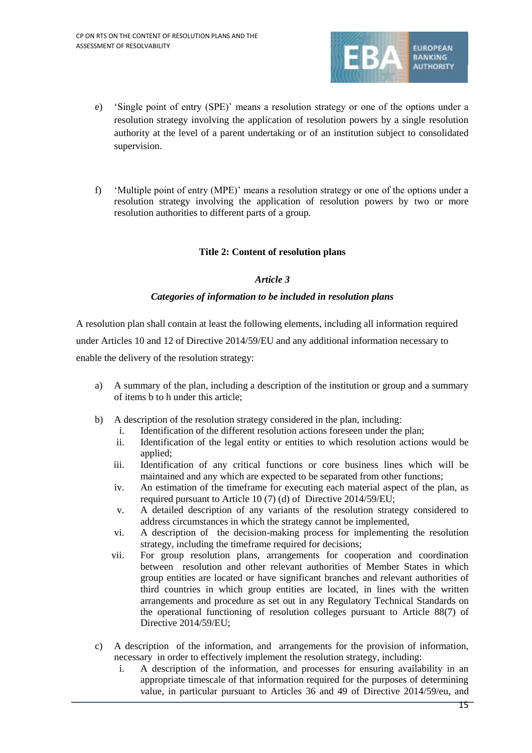

- e) 'Single point of entry (SPE)' means a resolution strategy or one of the options under a resolution strategy involving the application of resolution powers by a single resolution authority at the level of a parent undertaking or of an institution subject to consolidated supervision.
- f) 'Multiple point of entry (MPE)' means a resolution strategy or one of the options under a resolution strategy involving the application of resolution powers by two or more resolution authorities to different parts of a group.

## **Title 2: Content of resolution plans**

### *Article 3*

### *Categories of information to be included in resolution plans*

A resolution plan shall contain at least the following elements, including all information required under Articles 10 and 12 of Directive 2014/59/EU and any additional information necessary to enable the delivery of the resolution strategy:

- a) A summary of the plan, including a description of the institution or group and a summary of items b to h under this article;
- b) A description of the resolution strategy considered in the plan, including:
	- i. Identification of the different resolution actions foreseen under the plan;
	- ii. Identification of the legal entity or entities to which resolution actions would be applied;
	- iii. Identification of any critical functions or core business lines which will be maintained and any which are expected to be separated from other functions;
	- iv. An estimation of the timeframe for executing each material aspect of the plan, as required pursuant to Article 10 (7) (d) of Directive 2014/59/EU;
	- v. A detailed description of any variants of the resolution strategy considered to address circumstances in which the strategy cannot be implemented,
	- vi. A description of the decision-making process for implementing the resolution strategy, including the timeframe required for decisions;
	- vii. For group resolution plans, arrangements for cooperation and coordination between resolution and other relevant authorities of Member States in which group entities are located or have significant branches and relevant authorities of third countries in which group entities are located, in lines with the written arrangements and procedure as set out in any Regulatory Technical Standards on the operational functioning of resolution colleges pursuant to Article 88(7) of Directive 2014/59/EU;
- c) A description of the information, and arrangements for the provision of information, necessary in order to effectively implement the resolution strategy, including:
	- i. A description of the information, and processes for ensuring availability in an appropriate timescale of that information required for the purposes of determining value, in particular pursuant to Articles 36 and 49 of Directive 2014/59/eu, and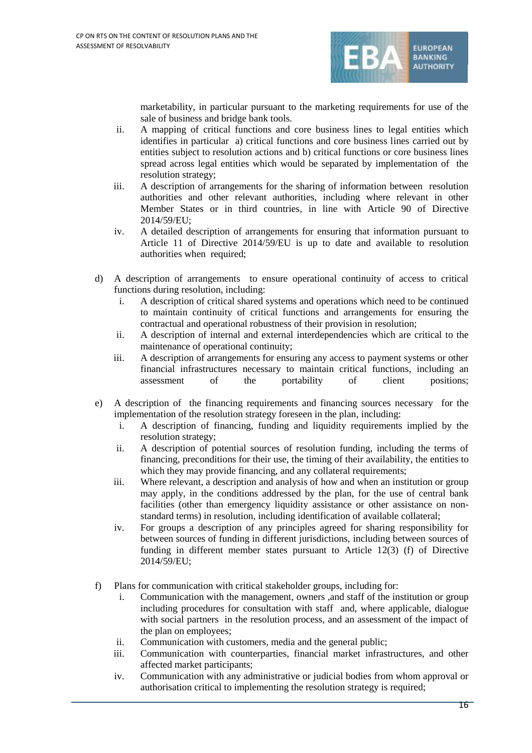

marketability, in particular pursuant to the marketing requirements for use of the sale of business and bridge bank tools.

- ii. A mapping of critical functions and core business lines to legal entities which identifies in particular a) critical functions and core business lines carried out by entities subject to resolution actions and b) critical functions or core business lines spread across legal entities which would be separated by implementation of the resolution strategy;
- iii. A description of arrangements for the sharing of information between resolution authorities and other relevant authorities, including where relevant in other Member States or in third countries, in line with Article 90 of Directive 2014/59/EU;
- iv. A detailed description of arrangements for ensuring that information pursuant to Article 11 of Directive 2014/59/EU is up to date and available to resolution authorities when required;
- d) A description of arrangements to ensure operational continuity of access to critical functions during resolution, including:
	- i. A description of critical shared systems and operations which need to be continued to maintain continuity of critical functions and arrangements for ensuring the contractual and operational robustness of their provision in resolution;
	- ii. A description of internal and external interdependencies which are critical to the maintenance of operational continuity;
	- iii. A description of arrangements for ensuring any access to payment systems or other financial infrastructures necessary to maintain critical functions, including an assessment of the portability of client positions;
- e) A description of the financing requirements and financing sources necessary for the implementation of the resolution strategy foreseen in the plan, including:
	- i. A description of financing, funding and liquidity requirements implied by the resolution strategy;
	- ii. A description of potential sources of resolution funding, including the terms of financing, preconditions for their use, the timing of their availability, the entities to which they may provide financing, and any collateral requirements;
	- iii. Where relevant, a description and analysis of how and when an institution or group may apply, in the conditions addressed by the plan, for the use of central bank facilities (other than emergency liquidity assistance or other assistance on nonstandard terms) in resolution, including identification of available collateral;
	- iv. For groups a description of any principles agreed for sharing responsibility for between sources of funding in different jurisdictions, including between sources of funding in different member states pursuant to Article 12(3) (f) of Directive 2014/59/EU;
- f) Plans for communication with critical stakeholder groups, including for:
	- i. Communication with the management, owners ,and staff of the institution or group including procedures for consultation with staff and, where applicable, dialogue with social partners in the resolution process, and an assessment of the impact of the plan on employees;
	- ii. Communication with customers, media and the general public;
	- iii. Communication with counterparties, financial market infrastructures, and other affected market participants;
	- iv. Communication with any administrative or judicial bodies from whom approval or authorisation critical to implementing the resolution strategy is required;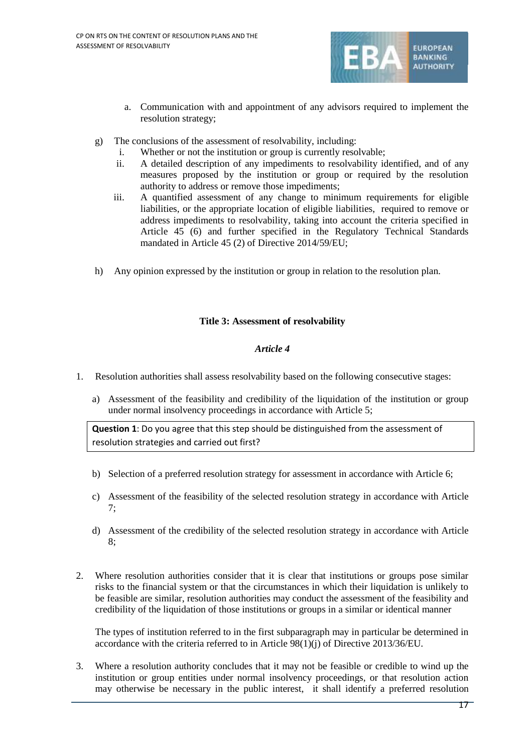

- a. Communication with and appointment of any advisors required to implement the resolution strategy;
- g) The conclusions of the assessment of resolvability, including:
	- i. Whether or not the institution or group is currently resolvable;
	- ii. A detailed description of any impediments to resolvability identified, and of any measures proposed by the institution or group or required by the resolution authority to address or remove those impediments;
	- iii. A quantified assessment of any change to minimum requirements for eligible liabilities, or the appropriate location of eligible liabilities, required to remove or address impediments to resolvability, taking into account the criteria specified in Article 45 (6) and further specified in the Regulatory Technical Standards mandated in Article 45 (2) of Directive 2014/59/EU;
- h) Any opinion expressed by the institution or group in relation to the resolution plan.

## **Title 3: Assessment of resolvability**

## *Article 4*

- 1. Resolution authorities shall assess resolvability based on the following consecutive stages:
	- a) Assessment of the feasibility and credibility of the liquidation of the institution or group under normal insolvency proceedings in accordance with Article 5;

**Question 1**: Do you agree that this step should be distinguished from the assessment of resolution strategies and carried out first?

- b) Selection of a preferred resolution strategy for assessment in accordance with Article 6;
- c) Assessment of the feasibility of the selected resolution strategy in accordance with Article 7;
- d) Assessment of the credibility of the selected resolution strategy in accordance with Article 8;
- 2. Where resolution authorities consider that it is clear that institutions or groups pose similar risks to the financial system or that the circumstances in which their liquidation is unlikely to be feasible are similar, resolution authorities may conduct the assessment of the feasibility and credibility of the liquidation of those institutions or groups in a similar or identical manner

The types of institution referred to in the first subparagraph may in particular be determined in accordance with the criteria referred to in Article 98(1)(j) of Directive 2013/36/EU.

3. Where a resolution authority concludes that it may not be feasible or credible to wind up the institution or group entities under normal insolvency proceedings, or that resolution action may otherwise be necessary in the public interest, it shall identify a preferred resolution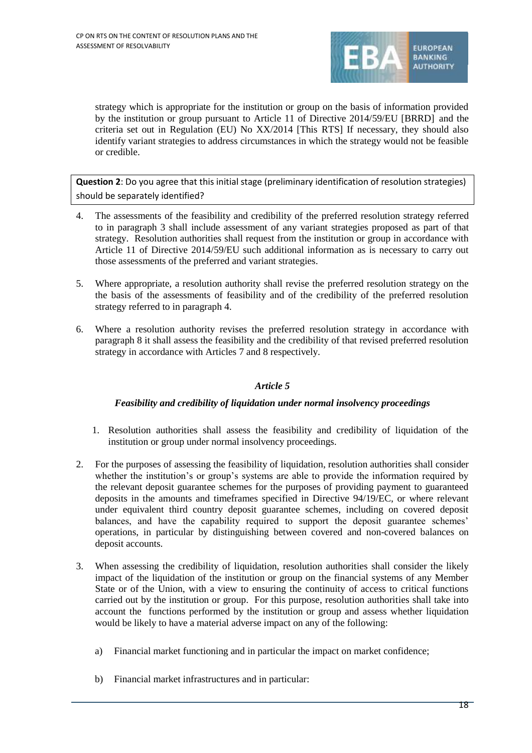

strategy which is appropriate for the institution or group on the basis of information provided by the institution or group pursuant to Article 11 of Directive 2014/59/EU [BRRD] and the criteria set out in Regulation (EU) No XX/2014 [This RTS] If necessary, they should also identify variant strategies to address circumstances in which the strategy would not be feasible or credible.

**Question 2**: Do you agree that this initial stage (preliminary identification of resolution strategies) should be separately identified?

- 4. The assessments of the feasibility and credibility of the preferred resolution strategy referred to in paragraph 3 shall include assessment of any variant strategies proposed as part of that strategy. Resolution authorities shall request from the institution or group in accordance with Article 11 of Directive 2014/59/EU such additional information as is necessary to carry out those assessments of the preferred and variant strategies.
- 5. Where appropriate, a resolution authority shall revise the preferred resolution strategy on the the basis of the assessments of feasibility and of the credibility of the preferred resolution strategy referred to in paragraph 4.
- 6. Where a resolution authority revises the preferred resolution strategy in accordance with paragraph 8 it shall assess the feasibility and the credibility of that revised preferred resolution strategy in accordance with Articles 7 and 8 respectively.

## *Article 5*

## *Feasibility and credibility of liquidation under normal insolvency proceedings*

- 1. Resolution authorities shall assess the feasibility and credibility of liquidation of the institution or group under normal insolvency proceedings.
- 2. For the purposes of assessing the feasibility of liquidation, resolution authorities shall consider whether the institution's or group's systems are able to provide the information required by the relevant deposit guarantee schemes for the purposes of providing payment to guaranteed deposits in the amounts and timeframes specified in Directive 94/19/EC, or where relevant under equivalent third country deposit guarantee schemes, including on covered deposit balances, and have the capability required to support the deposit guarantee schemes' operations, in particular by distinguishing between covered and non-covered balances on deposit accounts.
- 3. When assessing the credibility of liquidation, resolution authorities shall consider the likely impact of the liquidation of the institution or group on the financial systems of any Member State or of the Union, with a view to ensuring the continuity of access to critical functions carried out by the institution or group. For this purpose, resolution authorities shall take into account the functions performed by the institution or group and assess whether liquidation would be likely to have a material adverse impact on any of the following:
	- a) Financial market functioning and in particular the impact on market confidence;
	- b) Financial market infrastructures and in particular: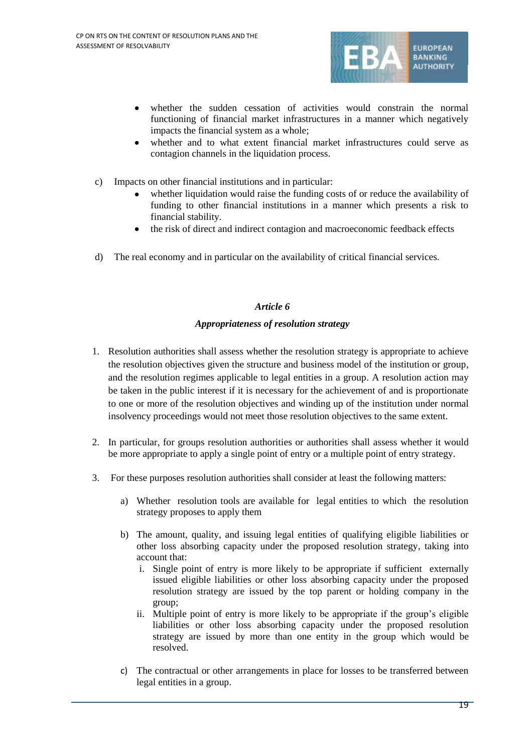

- whether the sudden cessation of activities would constrain the normal functioning of financial market infrastructures in a manner which negatively impacts the financial system as a whole;
- whether and to what extent financial market infrastructures could serve as contagion channels in the liquidation process.
- c) Impacts on other financial institutions and in particular:
	- whether liquidation would raise the funding costs of or reduce the availability of funding to other financial institutions in a manner which presents a risk to financial stability.
	- the risk of direct and indirect contagion and macroeconomic feedback effects
- d) The real economy and in particular on the availability of critical financial services.

## *Article 6*

## *Appropriateness of resolution strategy*

- 1. Resolution authorities shall assess whether the resolution strategy is appropriate to achieve the resolution objectives given the structure and business model of the institution or group, and the resolution regimes applicable to legal entities in a group. A resolution action may be taken in the public interest if it is necessary for the achievement of and is proportionate to one or more of the resolution objectives and winding up of the institution under normal insolvency proceedings would not meet those resolution objectives to the same extent.
- 2. In particular, for groups resolution authorities or authorities shall assess whether it would be more appropriate to apply a single point of entry or a multiple point of entry strategy.
- 3. For these purposes resolution authorities shall consider at least the following matters:
	- a) Whether resolution tools are available for legal entities to which the resolution strategy proposes to apply them
	- b) The amount, quality, and issuing legal entities of qualifying eligible liabilities or other loss absorbing capacity under the proposed resolution strategy, taking into account that:
		- i. Single point of entry is more likely to be appropriate if sufficient externally issued eligible liabilities or other loss absorbing capacity under the proposed resolution strategy are issued by the top parent or holding company in the group;
		- ii. Multiple point of entry is more likely to be appropriate if the group's eligible liabilities or other loss absorbing capacity under the proposed resolution strategy are issued by more than one entity in the group which would be resolved.
	- c) The contractual or other arrangements in place for losses to be transferred between legal entities in a group.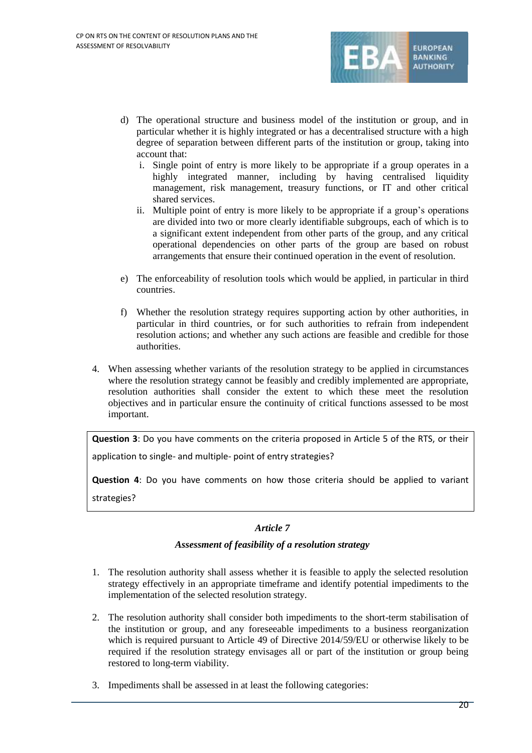

- d) The operational structure and business model of the institution or group, and in particular whether it is highly integrated or has a decentralised structure with a high degree of separation between different parts of the institution or group, taking into account that:
	- i. Single point of entry is more likely to be appropriate if a group operates in a highly integrated manner, including by having centralised liquidity management, risk management, treasury functions, or IT and other critical shared services.
	- ii. Multiple point of entry is more likely to be appropriate if a group's operations are divided into two or more clearly identifiable subgroups, each of which is to a significant extent independent from other parts of the group, and any critical operational dependencies on other parts of the group are based on robust arrangements that ensure their continued operation in the event of resolution.
- e) The enforceability of resolution tools which would be applied, in particular in third countries.
- f) Whether the resolution strategy requires supporting action by other authorities, in particular in third countries, or for such authorities to refrain from independent resolution actions; and whether any such actions are feasible and credible for those authorities.
- 4. When assessing whether variants of the resolution strategy to be applied in circumstances where the resolution strategy cannot be feasibly and credibly implemented are appropriate, resolution authorities shall consider the extent to which these meet the resolution objectives and in particular ensure the continuity of critical functions assessed to be most important.

**Question 3**: Do you have comments on the criteria proposed in Article 5 of the RTS, or their application to single- and multiple- point of entry strategies?

**Question 4**: Do you have comments on how those criteria should be applied to variant strategies?

## *Article 7*

## *Assessment of feasibility of a resolution strategy*

- 1. The resolution authority shall assess whether it is feasible to apply the selected resolution strategy effectively in an appropriate timeframe and identify potential impediments to the implementation of the selected resolution strategy.
- 2. The resolution authority shall consider both impediments to the short-term stabilisation of the institution or group, and any foreseeable impediments to a business reorganization which is required pursuant to Article 49 of Directive 2014/59/EU or otherwise likely to be required if the resolution strategy envisages all or part of the institution or group being restored to long-term viability.
- 3. Impediments shall be assessed in at least the following categories: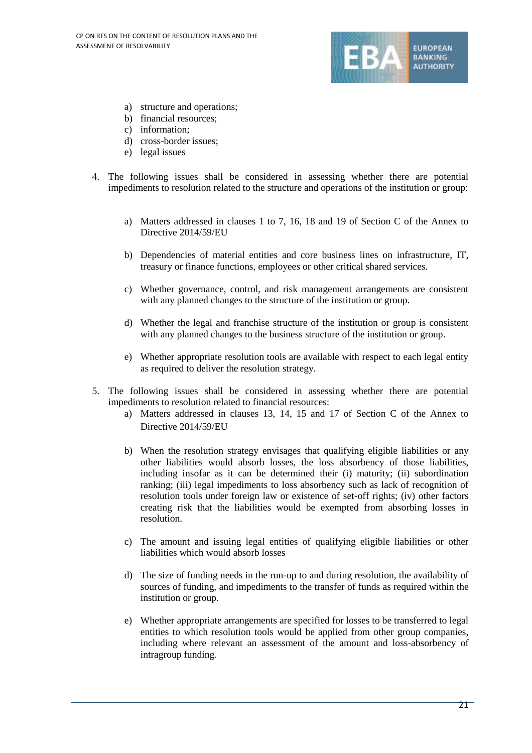

- a) structure and operations;
- b) financial resources;
- c) information;
- d) cross-border issues;
- e) legal issues
- 4. The following issues shall be considered in assessing whether there are potential impediments to resolution related to the structure and operations of the institution or group:
	- a) Matters addressed in clauses 1 to 7, 16, 18 and 19 of Section C of the Annex to Directive 2014/59/EU
	- b) Dependencies of material entities and core business lines on infrastructure, IT, treasury or finance functions, employees or other critical shared services.
	- c) Whether governance, control, and risk management arrangements are consistent with any planned changes to the structure of the institution or group.
	- d) Whether the legal and franchise structure of the institution or group is consistent with any planned changes to the business structure of the institution or group.
	- e) Whether appropriate resolution tools are available with respect to each legal entity as required to deliver the resolution strategy.
- 5. The following issues shall be considered in assessing whether there are potential impediments to resolution related to financial resources:
	- a) Matters addressed in clauses 13, 14, 15 and 17 of Section C of the Annex to Directive 2014/59/EU
	- b) When the resolution strategy envisages that qualifying eligible liabilities or any other liabilities would absorb losses, the loss absorbency of those liabilities, including insofar as it can be determined their (i) maturity; (ii) subordination ranking; (iii) legal impediments to loss absorbency such as lack of recognition of resolution tools under foreign law or existence of set-off rights; (iv) other factors creating risk that the liabilities would be exempted from absorbing losses in resolution.
	- c) The amount and issuing legal entities of qualifying eligible liabilities or other liabilities which would absorb losses
	- d) The size of funding needs in the run-up to and during resolution, the availability of sources of funding, and impediments to the transfer of funds as required within the institution or group.
	- e) Whether appropriate arrangements are specified for losses to be transferred to legal entities to which resolution tools would be applied from other group companies, including where relevant an assessment of the amount and loss-absorbency of intragroup funding.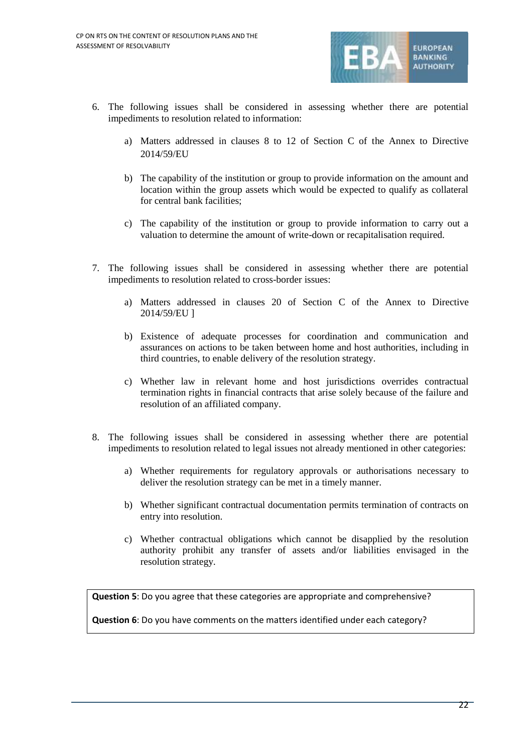

- 6. The following issues shall be considered in assessing whether there are potential impediments to resolution related to information:
	- a) Matters addressed in clauses 8 to 12 of Section C of the Annex to Directive 2014/59/EU
	- b) The capability of the institution or group to provide information on the amount and location within the group assets which would be expected to qualify as collateral for central bank facilities;
	- c) The capability of the institution or group to provide information to carry out a valuation to determine the amount of write-down or recapitalisation required.
- 7. The following issues shall be considered in assessing whether there are potential impediments to resolution related to cross-border issues:
	- a) Matters addressed in clauses 20 of Section C of the Annex to Directive 2014/59/EU ]
	- b) Existence of adequate processes for coordination and communication and assurances on actions to be taken between home and host authorities, including in third countries, to enable delivery of the resolution strategy.
	- c) Whether law in relevant home and host jurisdictions overrides contractual termination rights in financial contracts that arise solely because of the failure and resolution of an affiliated company.
- 8. The following issues shall be considered in assessing whether there are potential impediments to resolution related to legal issues not already mentioned in other categories:
	- a) Whether requirements for regulatory approvals or authorisations necessary to deliver the resolution strategy can be met in a timely manner.
	- b) Whether significant contractual documentation permits termination of contracts on entry into resolution.
	- c) Whether contractual obligations which cannot be disapplied by the resolution authority prohibit any transfer of assets and/or liabilities envisaged in the resolution strategy.

**Question 5**: Do you agree that these categories are appropriate and comprehensive?

**Question 6**: Do you have comments on the matters identified under each category?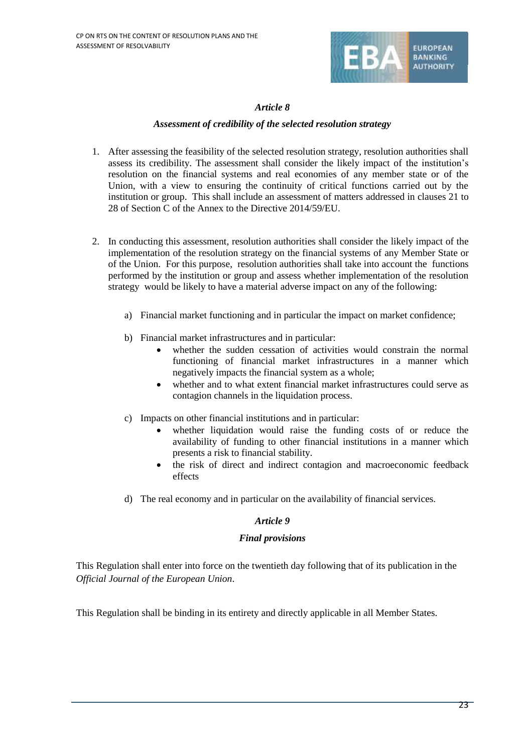

## *Article 8*

## *Assessment of credibility of the selected resolution strategy*

- 1. After assessing the feasibility of the selected resolution strategy, resolution authorities shall assess its credibility. The assessment shall consider the likely impact of the institution's resolution on the financial systems and real economies of any member state or of the Union, with a view to ensuring the continuity of critical functions carried out by the institution or group. This shall include an assessment of matters addressed in clauses 21 to 28 of Section C of the Annex to the Directive 2014/59/EU.
- 2. In conducting this assessment, resolution authorities shall consider the likely impact of the implementation of the resolution strategy on the financial systems of any Member State or of the Union. For this purpose, resolution authorities shall take into account the functions performed by the institution or group and assess whether implementation of the resolution strategy would be likely to have a material adverse impact on any of the following:
	- a) Financial market functioning and in particular the impact on market confidence;
	- b) Financial market infrastructures and in particular:
		- whether the sudden cessation of activities would constrain the normal functioning of financial market infrastructures in a manner which negatively impacts the financial system as a whole;
		- whether and to what extent financial market infrastructures could serve as contagion channels in the liquidation process.
	- c) Impacts on other financial institutions and in particular:
		- whether liquidation would raise the funding costs of or reduce the availability of funding to other financial institutions in a manner which presents a risk to financial stability.
		- the risk of direct and indirect contagion and macroeconomic feedback effects
	- d) The real economy and in particular on the availability of financial services.

## *Article 9*

## *Final provisions*

This Regulation shall enter into force on the twentieth day following that of its publication in the *Official Journal of the European Union*.

This Regulation shall be binding in its entirety and directly applicable in all Member States.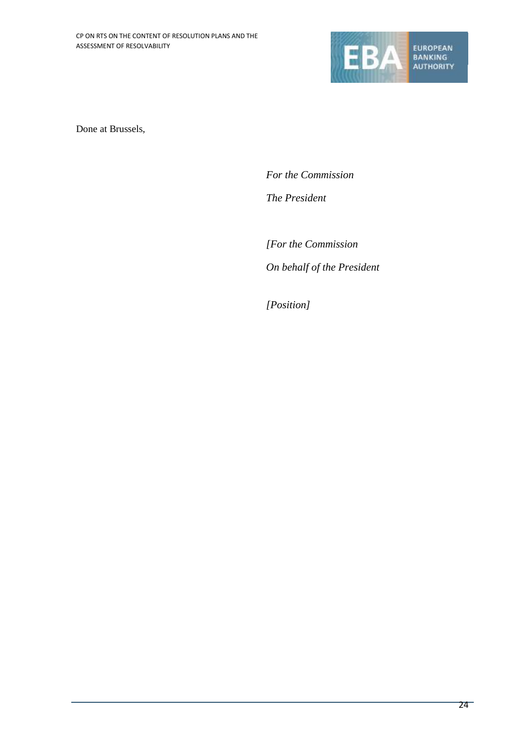

Done at Brussels,

*For the Commission The President*

*[For the Commission On behalf of the President*

*[Position]*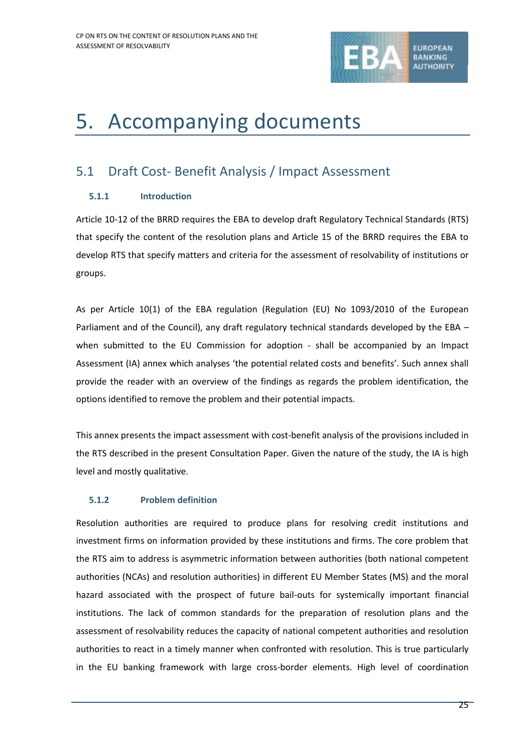

## 5. Accompanying documents

## 5.1 Draft Cost- Benefit Analysis / Impact Assessment

## **5.1.1 Introduction**

Article 10-12 of the BRRD requires the EBA to develop draft Regulatory Technical Standards (RTS) that specify the content of the resolution plans and Article 15 of the BRRD requires the EBA to develop RTS that specify matters and criteria for the assessment of resolvability of institutions or groups.

As per Article 10(1) of the EBA regulation (Regulation (EU) No 1093/2010 of the European Parliament and of the Council), any draft regulatory technical standards developed by the EBA when submitted to the EU Commission for adoption - shall be accompanied by an Impact Assessment (IA) annex which analyses 'the potential related costs and benefits'. Such annex shall provide the reader with an overview of the findings as regards the problem identification, the options identified to remove the problem and their potential impacts.

This annex presents the impact assessment with cost-benefit analysis of the provisions included in the RTS described in the present Consultation Paper. Given the nature of the study, the IA is high level and mostly qualitative.

## **5.1.2 Problem definition**

Resolution authorities are required to produce plans for resolving credit institutions and investment firms on information provided by these institutions and firms. The core problem that the RTS aim to address is asymmetric information between authorities (both national competent authorities (NCAs) and resolution authorities) in different EU Member States (MS) and the moral hazard associated with the prospect of future bail-outs for systemically important financial institutions. The lack of common standards for the preparation of resolution plans and the assessment of resolvability reduces the capacity of national competent authorities and resolution authorities to react in a timely manner when confronted with resolution. This is true particularly in the EU banking framework with large cross-border elements. High level of coordination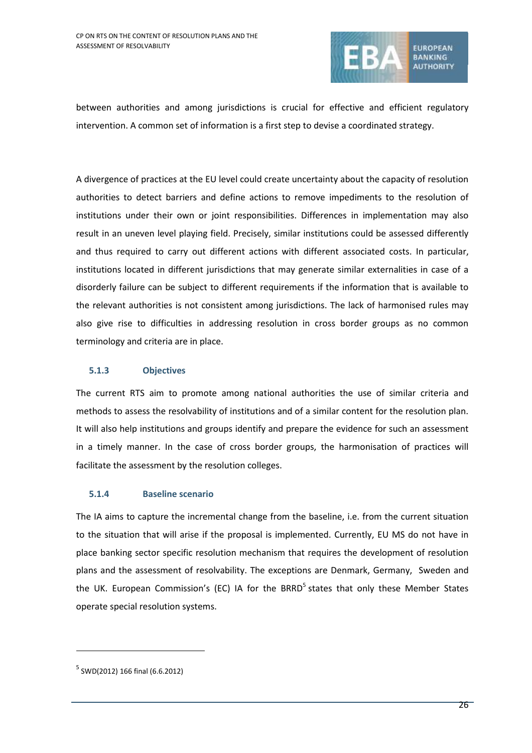

between authorities and among jurisdictions is crucial for effective and efficient regulatory intervention. A common set of information is a first step to devise a coordinated strategy.

A divergence of practices at the EU level could create uncertainty about the capacity of resolution authorities to detect barriers and define actions to remove impediments to the resolution of institutions under their own or joint responsibilities. Differences in implementation may also result in an uneven level playing field. Precisely, similar institutions could be assessed differently and thus required to carry out different actions with different associated costs. In particular, institutions located in different jurisdictions that may generate similar externalities in case of a disorderly failure can be subject to different requirements if the information that is available to the relevant authorities is not consistent among jurisdictions. The lack of harmonised rules may also give rise to difficulties in addressing resolution in cross border groups as no common terminology and criteria are in place.

## **5.1.3 Objectives**

The current RTS aim to promote among national authorities the use of similar criteria and methods to assess the resolvability of institutions and of a similar content for the resolution plan. It will also help institutions and groups identify and prepare the evidence for such an assessment in a timely manner. In the case of cross border groups, the harmonisation of practices will facilitate the assessment by the resolution colleges.

## **5.1.4 Baseline scenario**

The IA aims to capture the incremental change from the baseline, i.e. from the current situation to the situation that will arise if the proposal is implemented. Currently, EU MS do not have in place banking sector specific resolution mechanism that requires the development of resolution plans and the assessment of resolvability. The exceptions are Denmark, Germany, Sweden and the UK. European Commission's (EC) IA for the BRRD<sup>5</sup> states that only these Member States operate special resolution systems.

1

<sup>5</sup> SWD(2012) 166 final (6.6.2012)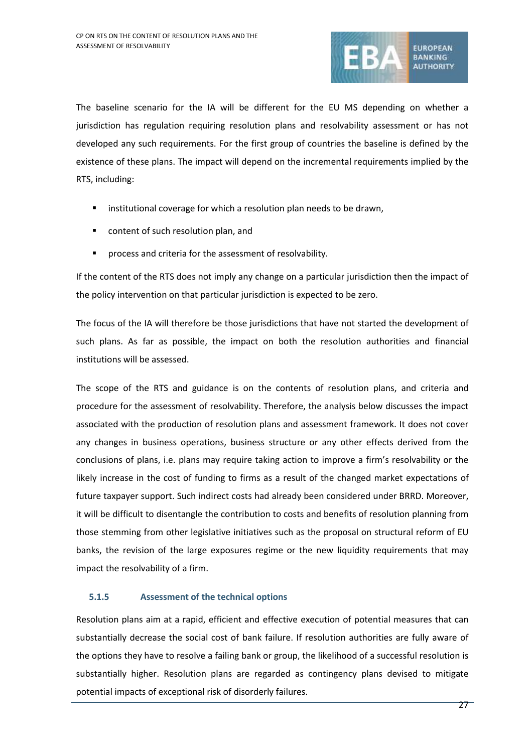

The baseline scenario for the IA will be different for the EU MS depending on whether a jurisdiction has regulation requiring resolution plans and resolvability assessment or has not developed any such requirements. For the first group of countries the baseline is defined by the existence of these plans. The impact will depend on the incremental requirements implied by the RTS, including:

- **EXECT** institutional coverage for which a resolution plan needs to be drawn,
- content of such resolution plan, and
- process and criteria for the assessment of resolvability.

If the content of the RTS does not imply any change on a particular jurisdiction then the impact of the policy intervention on that particular jurisdiction is expected to be zero.

The focus of the IA will therefore be those jurisdictions that have not started the development of such plans. As far as possible, the impact on both the resolution authorities and financial institutions will be assessed.

The scope of the RTS and guidance is on the contents of resolution plans, and criteria and procedure for the assessment of resolvability. Therefore, the analysis below discusses the impact associated with the production of resolution plans and assessment framework. It does not cover any changes in business operations, business structure or any other effects derived from the conclusions of plans, i.e. plans may require taking action to improve a firm's resolvability or the likely increase in the cost of funding to firms as a result of the changed market expectations of future taxpayer support. Such indirect costs had already been considered under BRRD. Moreover, it will be difficult to disentangle the contribution to costs and benefits of resolution planning from those stemming from other legislative initiatives such as the proposal on structural reform of EU banks, the revision of the large exposures regime or the new liquidity requirements that may impact the resolvability of a firm.

### **5.1.5 Assessment of the technical options**

Resolution plans aim at a rapid, efficient and effective execution of potential measures that can substantially decrease the social cost of bank failure. If resolution authorities are fully aware of the options they have to resolve a failing bank or group, the likelihood of a successful resolution is substantially higher. Resolution plans are regarded as contingency plans devised to mitigate potential impacts of exceptional risk of disorderly failures.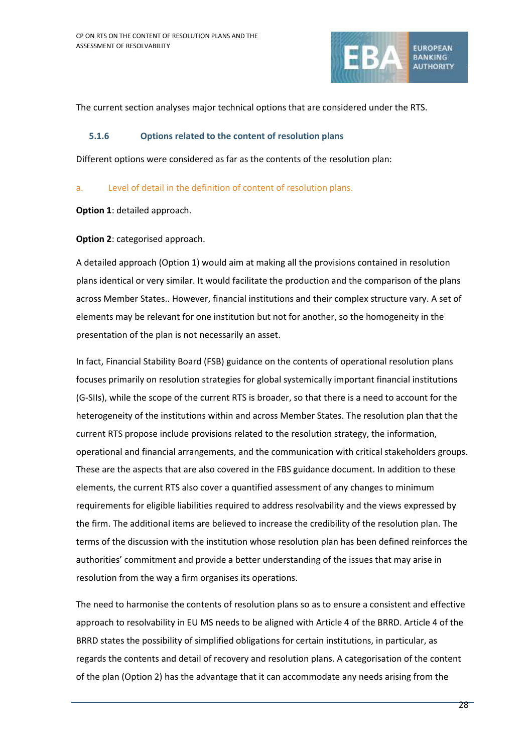

The current section analyses major technical options that are considered under the RTS.

### **5.1.6 Options related to the content of resolution plans**

Different options were considered as far as the contents of the resolution plan:

### a. Level of detail in the definition of content of resolution plans.

**Option 1**: detailed approach.

## **Option 2**: categorised approach.

A detailed approach (Option 1) would aim at making all the provisions contained in resolution plans identical or very similar. It would facilitate the production and the comparison of the plans across Member States.. However, financial institutions and their complex structure vary. A set of elements may be relevant for one institution but not for another, so the homogeneity in the presentation of the plan is not necessarily an asset.

In fact, Financial Stability Board (FSB) guidance on the contents of operational resolution plans focuses primarily on resolution strategies for global systemically important financial institutions (G-SIIs), while the scope of the current RTS is broader, so that there is a need to account for the heterogeneity of the institutions within and across Member States. The resolution plan that the current RTS propose include provisions related to the resolution strategy, the information, operational and financial arrangements, and the communication with critical stakeholders groups. These are the aspects that are also covered in the FBS guidance document. In addition to these elements, the current RTS also cover a quantified assessment of any changes to minimum requirements for eligible liabilities required to address resolvability and the views expressed by the firm. The additional items are believed to increase the credibility of the resolution plan. The terms of the discussion with the institution whose resolution plan has been defined reinforces the authorities' commitment and provide a better understanding of the issues that may arise in resolution from the way a firm organises its operations.

The need to harmonise the contents of resolution plans so as to ensure a consistent and effective approach to resolvability in EU MS needs to be aligned with Article 4 of the BRRD. Article 4 of the BRRD states the possibility of simplified obligations for certain institutions, in particular, as regards the contents and detail of recovery and resolution plans. A categorisation of the content of the plan (Option 2) has the advantage that it can accommodate any needs arising from the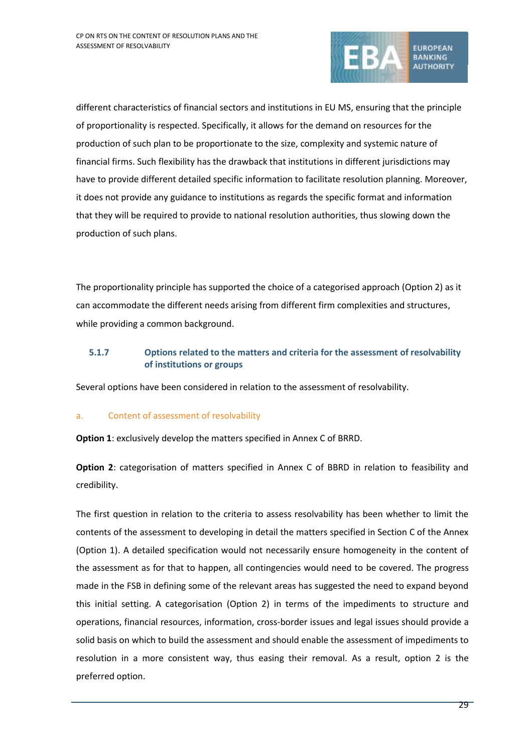

different characteristics of financial sectors and institutions in EU MS, ensuring that the principle of proportionality is respected. Specifically, it allows for the demand on resources for the production of such plan to be proportionate to the size, complexity and systemic nature of financial firms. Such flexibility has the drawback that institutions in different jurisdictions may have to provide different detailed specific information to facilitate resolution planning. Moreover, it does not provide any guidance to institutions as regards the specific format and information that they will be required to provide to national resolution authorities, thus slowing down the production of such plans.

The proportionality principle has supported the choice of a categorised approach (Option 2) as it can accommodate the different needs arising from different firm complexities and structures, while providing a common background.

## **5.1.7 Options related to the matters and criteria for the assessment of resolvability of institutions or groups**

Several options have been considered in relation to the assessment of resolvability.

## a. Content of assessment of resolvability

**Option 1**: exclusively develop the matters specified in Annex C of BRRD.

**Option 2**: categorisation of matters specified in Annex C of BBRD in relation to feasibility and credibility.

The first question in relation to the criteria to assess resolvability has been whether to limit the contents of the assessment to developing in detail the matters specified in Section C of the Annex (Option 1). A detailed specification would not necessarily ensure homogeneity in the content of the assessment as for that to happen, all contingencies would need to be covered. The progress made in the FSB in defining some of the relevant areas has suggested the need to expand beyond this initial setting. A categorisation (Option 2) in terms of the impediments to structure and operations, financial resources, information, cross-border issues and legal issues should provide a solid basis on which to build the assessment and should enable the assessment of impediments to resolution in a more consistent way, thus easing their removal. As a result, option 2 is the preferred option.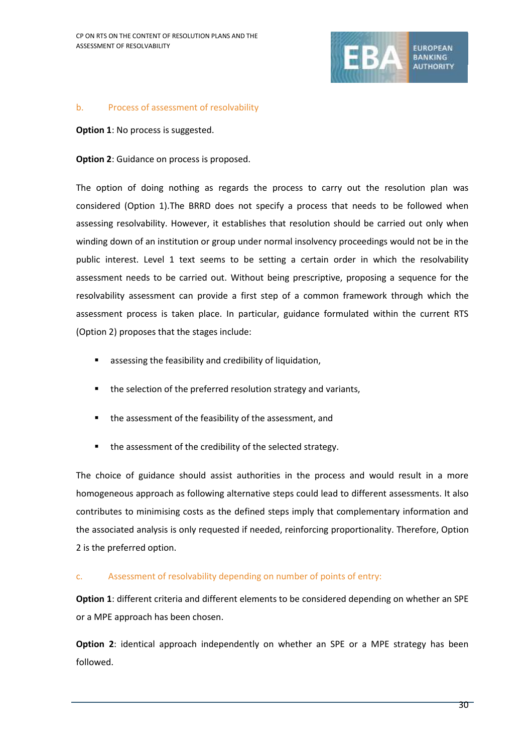

#### b. Process of assessment of resolvability

**Option 1: No process is suggested.** 

**Option 2:** Guidance on process is proposed.

The option of doing nothing as regards the process to carry out the resolution plan was considered (Option 1).The BRRD does not specify a process that needs to be followed when assessing resolvability. However, it establishes that resolution should be carried out only when winding down of an institution or group under normal insolvency proceedings would not be in the public interest. Level 1 text seems to be setting a certain order in which the resolvability assessment needs to be carried out. Without being prescriptive, proposing a sequence for the resolvability assessment can provide a first step of a common framework through which the assessment process is taken place. In particular, guidance formulated within the current RTS (Option 2) proposes that the stages include:

- assessing the feasibility and credibility of liquidation,
- the selection of the preferred resolution strategy and variants,
- the assessment of the feasibility of the assessment, and
- the assessment of the credibility of the selected strategy.

The choice of guidance should assist authorities in the process and would result in a more homogeneous approach as following alternative steps could lead to different assessments. It also contributes to minimising costs as the defined steps imply that complementary information and the associated analysis is only requested if needed, reinforcing proportionality. Therefore, Option 2 is the preferred option.

### c. Assessment of resolvability depending on number of points of entry:

**Option 1**: different criteria and different elements to be considered depending on whether an SPE or a MPE approach has been chosen.

**Option 2**: identical approach independently on whether an SPE or a MPE strategy has been followed.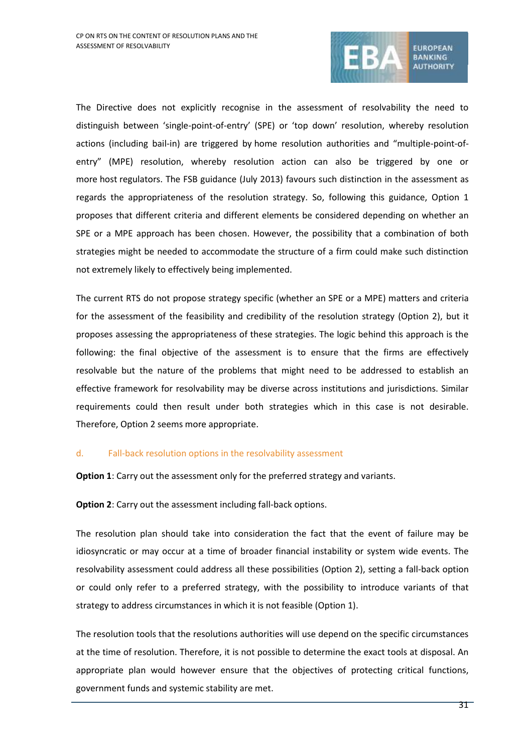

The Directive does not explicitly recognise in the assessment of resolvability the need to distinguish between 'single-point-of-entry' (SPE) or 'top down' resolution, whereby resolution actions (including bail-in) are triggered by home resolution authorities and "multiple-point-ofentry" (MPE) resolution, whereby resolution action can also be triggered by one or more host regulators. The FSB guidance (July 2013) favours such distinction in the assessment as regards the appropriateness of the resolution strategy. So, following this guidance, Option 1 proposes that different criteria and different elements be considered depending on whether an SPE or a MPE approach has been chosen. However, the possibility that a combination of both strategies might be needed to accommodate the structure of a firm could make such distinction not extremely likely to effectively being implemented.

The current RTS do not propose strategy specific (whether an SPE or a MPE) matters and criteria for the assessment of the feasibility and credibility of the resolution strategy (Option 2), but it proposes assessing the appropriateness of these strategies. The logic behind this approach is the following: the final objective of the assessment is to ensure that the firms are effectively resolvable but the nature of the problems that might need to be addressed to establish an effective framework for resolvability may be diverse across institutions and jurisdictions. Similar requirements could then result under both strategies which in this case is not desirable. Therefore, Option 2 seems more appropriate.

### d. Fall-back resolution options in the resolvability assessment

**Option 1**: Carry out the assessment only for the preferred strategy and variants.

**Option 2:** Carry out the assessment including fall-back options.

The resolution plan should take into consideration the fact that the event of failure may be idiosyncratic or may occur at a time of broader financial instability or system wide events. The resolvability assessment could address all these possibilities (Option 2), setting a fall-back option or could only refer to a preferred strategy, with the possibility to introduce variants of that strategy to address circumstances in which it is not feasible (Option 1).

The resolution tools that the resolutions authorities will use depend on the specific circumstances at the time of resolution. Therefore, it is not possible to determine the exact tools at disposal. An appropriate plan would however ensure that the objectives of protecting critical functions, government funds and systemic stability are met.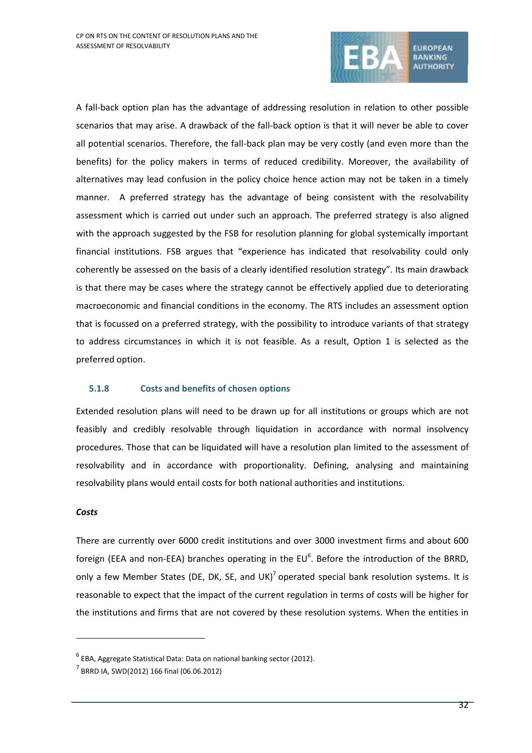

A fall-back option plan has the advantage of addressing resolution in relation to other possible scenarios that may arise. A drawback of the fall-back option is that it will never be able to cover all potential scenarios. Therefore, the fall-back plan may be very costly (and even more than the benefits) for the policy makers in terms of reduced credibility. Moreover, the availability of alternatives may lead confusion in the policy choice hence action may not be taken in a timely manner. A preferred strategy has the advantage of being consistent with the resolvability assessment which is carried out under such an approach. The preferred strategy is also aligned with the approach suggested by the FSB for resolution planning for global systemically important financial institutions. FSB argues that "experience has indicated that resolvability could only coherently be assessed on the basis of a clearly identified resolution strategy". Its main drawback is that there may be cases where the strategy cannot be effectively applied due to deteriorating macroeconomic and financial conditions in the economy. The RTS includes an assessment option that is focussed on a preferred strategy, with the possibility to introduce variants of that strategy to address circumstances in which it is not feasible. As a result, Option 1 is selected as the preferred option.

## **5.1.8 Costs and benefits of chosen options**

Extended resolution plans will need to be drawn up for all institutions or groups which are not feasibly and credibly resolvable through liquidation in accordance with normal insolvency procedures. Those that can be liquidated will have a resolution plan limited to the assessment of resolvability and in accordance with proportionality. Defining, analysing and maintaining resolvability plans would entail costs for both national authorities and institutions.

#### *Costs*

1

There are currently over 6000 credit institutions and over 3000 investment firms and about 600 foreign (EEA and non-EEA) branches operating in the  $EU^6$ . Before the introduction of the BRRD, only a few Member States (DE, DK, SE, and UK)<sup>7</sup> operated special bank resolution systems. It is reasonable to expect that the impact of the current regulation in terms of costs will be higher for the institutions and firms that are not covered by these resolution systems. When the entities in

<sup>6</sup> EBA, Aggregate Statistical Data: Data on national banking sector (2012).

<sup>7</sup> BRRD IA, SWD(2012) 166 final (06.06.2012)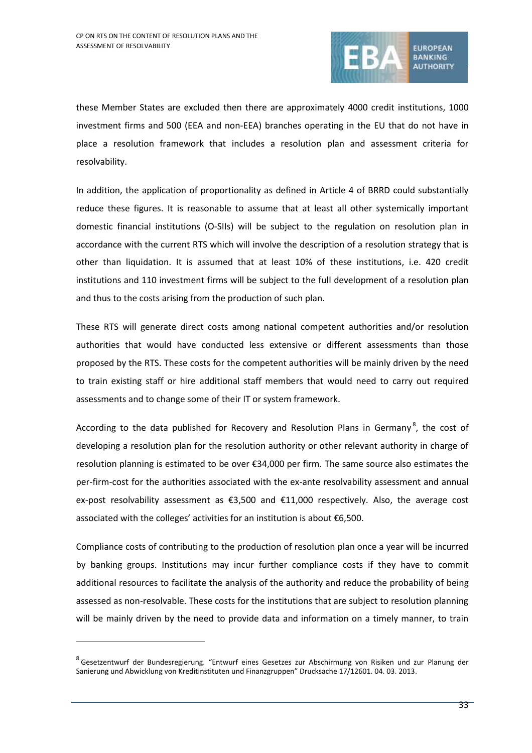

these Member States are excluded then there are approximately 4000 credit institutions, 1000 investment firms and 500 (EEA and non-EEA) branches operating in the EU that do not have in place a resolution framework that includes a resolution plan and assessment criteria for resolvability.

In addition, the application of proportionality as defined in Article 4 of BRRD could substantially reduce these figures. It is reasonable to assume that at least all other systemically important domestic financial institutions (O-SIIs) will be subject to the regulation on resolution plan in accordance with the current RTS which will involve the description of a resolution strategy that is other than liquidation. It is assumed that at least 10% of these institutions, i.e. 420 credit institutions and 110 investment firms will be subject to the full development of a resolution plan and thus to the costs arising from the production of such plan.

These RTS will generate direct costs among national competent authorities and/or resolution authorities that would have conducted less extensive or different assessments than those proposed by the RTS. These costs for the competent authorities will be mainly driven by the need to train existing staff or hire additional staff members that would need to carry out required assessments and to change some of their IT or system framework.

According to the data published for Recovery and Resolution Plans in Germany<sup>8</sup>, the cost of developing a resolution plan for the resolution authority or other relevant authority in charge of resolution planning is estimated to be over €34,000 per firm. The same source also estimates the per-firm-cost for the authorities associated with the ex-ante resolvability assessment and annual ex-post resolvability assessment as €3,500 and €11,000 respectively. Also, the average cost associated with the colleges' activities for an institution is about €6,500.

Compliance costs of contributing to the production of resolution plan once a year will be incurred by banking groups. Institutions may incur further compliance costs if they have to commit additional resources to facilitate the analysis of the authority and reduce the probability of being assessed as non-resolvable. These costs for the institutions that are subject to resolution planning will be mainly driven by the need to provide data and information on a timely manner, to train

1

<sup>&</sup>lt;sup>8</sup> Gesetzentwurf der Bundesregierung. "Entwurf eines Gesetzes zur Abschirmung von Risiken und zur Planung der Sanierung und Abwicklung von Kreditinstituten und Finanzgruppen" Drucksache 17/12601. 04. 03. 2013.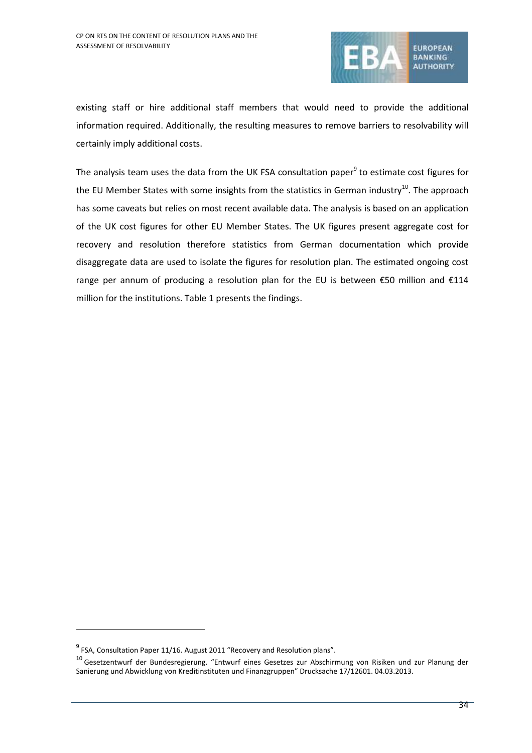

existing staff or hire additional staff members that would need to provide the additional information required. Additionally, the resulting measures to remove barriers to resolvability will certainly imply additional costs.

The analysis team uses the data from the UK FSA consultation paper<sup>9</sup> to estimate cost figures for the EU Member States with some insights from the statistics in German industry<sup>10</sup>. The approach has some caveats but relies on most recent available data. The analysis is based on an application of the UK cost figures for other EU Member States. The UK figures present aggregate cost for recovery and resolution therefore statistics from German documentation which provide disaggregate data are used to isolate the figures for resolution plan. The estimated ongoing cost range per annum of producing a resolution plan for the EU is between  $\epsilon$ 50 million and  $\epsilon$ 114 million for the institutions[. Table 1](#page-34-0) presents the findings.

1

 $^{9}$  FSA, Consultation Paper 11/16. August 2011 "Recovery and Resolution plans".

<sup>10</sup> Gesetzentwurf der Bundesregierung. "Entwurf eines Gesetzes zur Abschirmung von Risiken und zur Planung der Sanierung und Abwicklung von Kreditinstituten und Finanzgruppen" Drucksache 17/12601. 04.03.2013.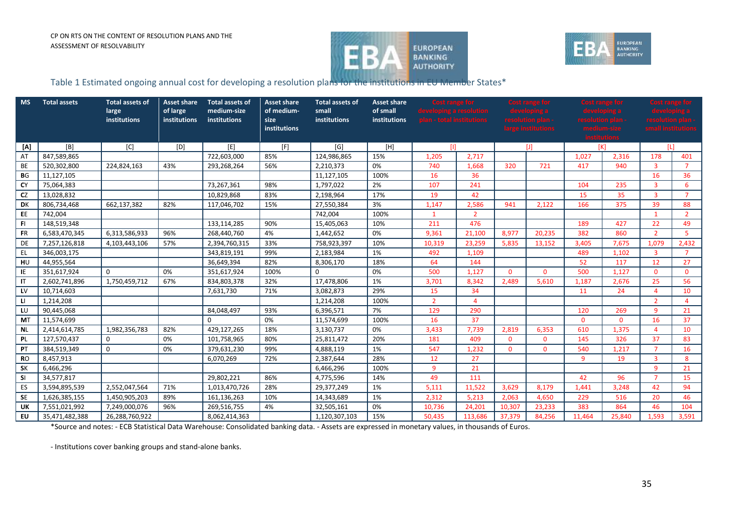



## Table 1 Estimated ongoing annual cost for developing a resolution plans for the institutions in EU Member States\*

| <b>MS</b>    | <b>Total assets</b> | <b>Total assets of</b><br>large<br>institutions | <b>Asset share</b><br>of large<br>institutions | <b>Total assets of</b><br>medium-size<br>institutions | <b>Asset share</b><br>of medium-<br>size<br>institutions | <b>Total assets of</b><br>small<br>institutions | <b>Asset share</b><br>of small<br>institutions | Cost range for<br>developing a resolution<br>plan - total institutions |                |              | <b>Cost range for</b><br>resolution plan -<br>large institutions | <b>Cost range for</b> |              | <b>Cost range for</b><br>resolution plan -<br>small institution |                |
|--------------|---------------------|-------------------------------------------------|------------------------------------------------|-------------------------------------------------------|----------------------------------------------------------|-------------------------------------------------|------------------------------------------------|------------------------------------------------------------------------|----------------|--------------|------------------------------------------------------------------|-----------------------|--------------|-----------------------------------------------------------------|----------------|
| [A]          | [B]                 | [C]                                             | [D]                                            | [E]                                                   | [F]                                                      | [G]                                             | [H]                                            | ТH                                                                     |                | $[1]$        |                                                                  |                       | [K]          | ΙIJ                                                             |                |
| AT           | 847,589,865         |                                                 |                                                | 722,603,000                                           | 85%                                                      | 124,986,865                                     | 15%                                            | 2,717<br>1,205                                                         |                |              |                                                                  | 1,027                 | 2,316        | 178                                                             | 401            |
| BE           | 520,302,800         | 224,824,163                                     | 43%                                            | 293,268,264                                           | 56%                                                      | 2,210,373                                       | 0%                                             | 740                                                                    | 1,668          | 320          | 721                                                              | 417                   | 940          | 3                                                               | $\overline{7}$ |
| <b>BG</b>    | 11,127,105          |                                                 |                                                |                                                       |                                                          | 11,127,105                                      | 100%                                           | 16                                                                     | 36             |              |                                                                  |                       |              | 16                                                              | 36             |
| <b>CY</b>    | 75,064,383          |                                                 |                                                | 73,267,361                                            | 98%                                                      | 1,797,022                                       | 2%                                             | 107                                                                    | 241            |              |                                                                  | 104                   | 235          | $\overline{3}$                                                  | 6              |
| <b>CZ</b>    | 13,028,832          |                                                 |                                                | 10,829,868                                            | 83%                                                      | 2,198,964                                       | 17%                                            | 19                                                                     | 42             |              |                                                                  | 15                    | 35           | $\overline{3}$                                                  | $\overline{7}$ |
| DK           | 806,734,468         | 662,137,382                                     | 82%                                            | 117,046,702                                           | 15%                                                      | 27,550,384                                      | 3%                                             | 1,147                                                                  | 2,586          | 941          | 2,122                                                            | 166                   | 375          | 39                                                              | 88             |
| EE           | 742,004             |                                                 |                                                |                                                       |                                                          | 742,004                                         | 100%                                           | $\mathbf{1}$                                                           | $\overline{2}$ |              |                                                                  |                       |              | $\mathbf{1}$                                                    | $\overline{2}$ |
| -FI          | 148,519,348         |                                                 |                                                | 133,114,285                                           | 90%                                                      | 15,405,063                                      | 10%                                            | 211                                                                    | 476            |              |                                                                  | 189                   | 427          | 22                                                              | 49             |
| <b>FR</b>    | 6,583,470,345       | 6,313,586,933                                   | 96%                                            | 268,440,760                                           | 4%                                                       | 1,442,652                                       | 0%                                             | 9,361                                                                  | 21,100         | 8,977        | 20,235                                                           | 382                   | 860          | $\overline{2}$                                                  | $\overline{5}$ |
| DE           | 7,257,126,818       | 4,103,443,106                                   | 57%                                            | 2,394,760,315                                         | 33%                                                      | 758,923,397                                     | 10%                                            | 10,319                                                                 | 23,259         | 5,835        | 13,152                                                           | 3,405                 | 7.675        | 1,079                                                           | 2,432          |
| EL.          | 346,003,175         |                                                 |                                                | 343,819,191                                           | 99%                                                      | 2,183,984                                       | 1%                                             | 492                                                                    | 1,109          |              |                                                                  | 489                   | 1,102        | $\overline{3}$                                                  | $\overline{7}$ |
| HU           | 44,955,564          |                                                 |                                                | 36,649,394                                            | 82%                                                      | 8,306,170                                       | 18%                                            | 64                                                                     | 144            |              |                                                                  | 52                    | 117          | 12                                                              | 27             |
| IE           | 351,617,924         | $\Omega$                                        | 0%                                             | 351,617,924                                           | 100%                                                     | $\Omega$                                        | 0%                                             | 500                                                                    | 1,127          | $\Omega$     | $\Omega$                                                         | 500                   | 1,127        | $\Omega$                                                        | $\Omega$       |
| $\mathsf{I}$ | 2,602,741,896       | 1,750,459,712                                   | 67%                                            | 834,803,378                                           | 32%                                                      | 17,478,806                                      | 1%                                             | 3,701                                                                  | 8,342          | 2,489        | 5,610                                                            | 1.187                 | 2,676        | 25                                                              | 56             |
| <b>LV</b>    | 10,714,603          |                                                 |                                                | 7,631,730                                             | 71%                                                      | 3,082,873                                       | 29%                                            | 15                                                                     | 34             |              |                                                                  | 11                    | 24           | $\overline{a}$                                                  | 10             |
| <b>LI</b>    | 1,214,208           |                                                 |                                                |                                                       |                                                          | 1,214,208                                       | 100%                                           | $\overline{2}$                                                         | $\overline{4}$ |              |                                                                  |                       |              | $\overline{2}$                                                  | $\overline{4}$ |
| LU           | 90,445,068          |                                                 |                                                | 84,048,497                                            | 93%                                                      | 6,396,571                                       | 7%                                             | 129                                                                    | 290            |              |                                                                  | 120                   | 269          | 9                                                               | 21             |
| <b>MT</b>    | 11,574,699          |                                                 |                                                | 0                                                     | 0%                                                       | 11,574,699                                      | 100%                                           | 16                                                                     | 37             |              |                                                                  | $\overline{0}$        | $\mathbf{0}$ | 16                                                              | 37             |
| <b>NL</b>    | 2,414,614,785       | 1,982,356,783                                   | 82%                                            | 429,127,265                                           | 18%                                                      | 3,130,737                                       | 0%                                             | 3,433                                                                  | 7,739          | 2,819        | 6,353                                                            | 610                   | 1,375        | $\overline{4}$                                                  | 10             |
| <b>PL</b>    | 127,570,437         | 0                                               | 0%                                             | 101,758,965                                           | 80%                                                      | 25,811,472                                      | 20%                                            | 181                                                                    | 409            | $\mathbf{0}$ | $\Omega$                                                         | 145                   | 326          | 37                                                              | 83             |
| PT           | 384,519,349         | $\mathbf{0}$                                    | 0%                                             | 379,631,230                                           | 99%                                                      | 4,888,119                                       | 1%                                             | 547                                                                    | 1,232          | $\mathbf{0}$ | $\Omega$                                                         | 540                   | 1,217        | $\overline{7}$                                                  | 16             |
| <b>RO</b>    | 8,457,913           |                                                 |                                                | 6,070,269                                             | 72%                                                      | 2,387,644                                       | 28%                                            | 12                                                                     | 27             |              |                                                                  | 9                     | 19           | 3                                                               | 8              |
| <b>SK</b>    | 6,466,296           |                                                 |                                                |                                                       |                                                          | 6,466,296                                       | 100%                                           | 9                                                                      | 21             |              |                                                                  |                       |              | 9                                                               | 21             |
| <b>SI</b>    | 34,577,817          |                                                 |                                                | 29,802,221                                            | 86%                                                      | 4,775,596                                       | 14%                                            | 49                                                                     | 111            |              |                                                                  | 42                    | 96           | $\overline{7}$                                                  | 15             |
| ES           | 3,594,895,539       | 2,552,047,564                                   | 71%                                            | 1,013,470,726                                         | 28%                                                      | 29,377,249                                      | 1%                                             | 5,111                                                                  | 11,522         | 3,629        | 8,179                                                            | 1,441                 | 3,248        | 42                                                              | 94             |
| <b>SE</b>    | 1,626,385,155       | 1,450,905,203                                   | 89%                                            | 161,136,263                                           | 10%                                                      | 14,343,689                                      | 1%                                             | 2,312                                                                  | 5,213          | 2,063        | 4,650                                                            | 229                   | 516          | 20                                                              | 46             |
| UK           | 7,551,021,992       | 7,249,000,076                                   | 96%                                            | 269,516,755                                           | 4%                                                       | 32,505,161                                      | 0%                                             | 10,736                                                                 | 24,201         | 10,307       | 23,233                                                           | 383                   | 864          | 46                                                              | 104            |
| EU           | 35,471,482,388      | 26,288,760,922                                  |                                                | 8,062,414,363                                         |                                                          | 1,120,307,103                                   | 15%                                            | 50,435                                                                 | 113,686        | 37,379       | 84,256                                                           | 11.464                | 25,840       | 1.593                                                           | 3,591          |

<span id="page-34-0"></span>\*Source and notes: - ECB Statistical Data Warehouse: Consolidated banking data. - Assets are expressed in monetary values, in thousands of Euros.

- Institutions cover banking groups and stand-alone banks.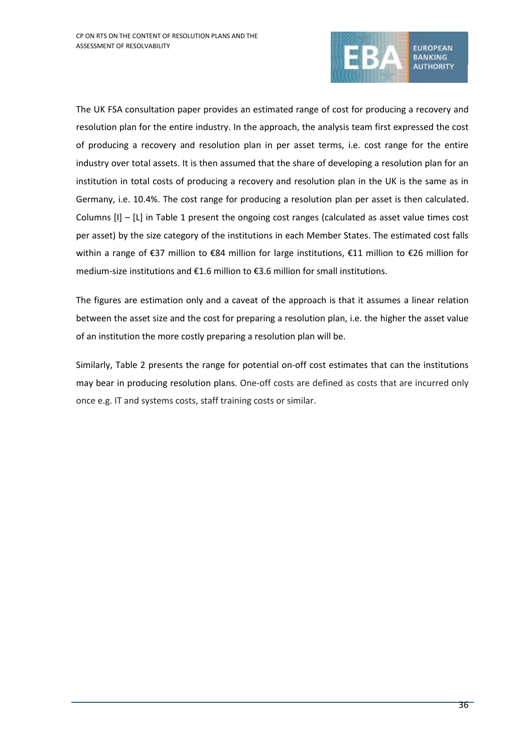

The UK FSA consultation paper provides an estimated range of cost for producing a recovery and resolution plan for the entire industry. In the approach, the analysis team first expressed the cost of producing a recovery and resolution plan in per asset terms, i.e. cost range for the entire industry over total assets. It is then assumed that the share of developing a resolution plan for an institution in total costs of producing a recovery and resolution plan in the UK is the same as in Germany, i.e. 10.4%. The cost range for producing a resolution plan per asset is then calculated. Columns [I] – [L] in [Table 1](#page-34-0) present the ongoing cost ranges (calculated as asset value times cost per asset) by the size category of the institutions in each Member States. The estimated cost falls within a range of €37 million to €84 million for large institutions, €11 million to €26 million for medium-size institutions and €1.6 million to €3.6 million for small institutions.

The figures are estimation only and a caveat of the approach is that it assumes a linear relation between the asset size and the cost for preparing a resolution plan, i.e. the higher the asset value of an institution the more costly preparing a resolution plan will be.

Similarly, [Table 2](#page-36-0) presents the range for potential on-off cost estimates that can the institutions may bear in producing resolution plans. One-off costs are defined as costs that are incurred only once e.g. IT and systems costs, staff training costs or similar.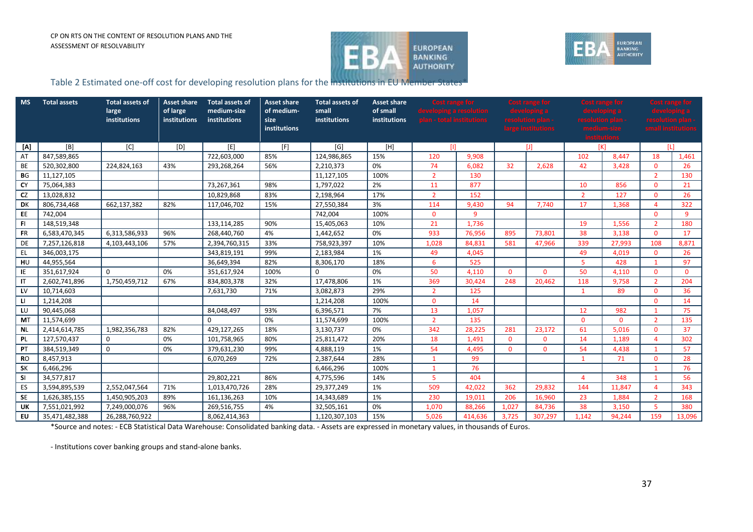



## Table 2 Estimated one-off cost for developing resolution plans for the institutions in EU Member States\*

| <b>MS</b> | <b>Total assets</b> | <b>Total assets of</b><br>large<br>institutions | <b>Asset share</b><br>of large<br>institutions | <b>Total assets of</b><br>medium-size<br>institutions | <b>Asset share</b><br>of medium-<br>size<br>institutions | <b>Total assets of</b><br>small<br>institutions | <b>Asset share</b><br>of small<br>institutions | <b>Cost range for</b><br>developing a resolution<br>plan - total institutions |         | <b>Cost range for</b><br>resolution plan<br>large institutions |          | <b>Cost range for</b> |          | <b>Cost range for</b><br>$\mathsf{resolution}\ \mathsf{plan}$<br>small institutions |          |  |
|-----------|---------------------|-------------------------------------------------|------------------------------------------------|-------------------------------------------------------|----------------------------------------------------------|-------------------------------------------------|------------------------------------------------|-------------------------------------------------------------------------------|---------|----------------------------------------------------------------|----------|-----------------------|----------|-------------------------------------------------------------------------------------|----------|--|
| [A]       | [B]                 | [C]                                             | [D]                                            | [E]                                                   | [F]                                                      | [G]                                             | [H]                                            | m                                                                             |         |                                                                |          | [K]                   |          |                                                                                     | ΙIJ      |  |
| AT        | 847,589,865         |                                                 |                                                | 722,603,000                                           | 85%                                                      | 124,986,865                                     | 15%                                            | 9,908<br>120                                                                  |         |                                                                |          | 102                   | 8.447    | 18                                                                                  | 1,461    |  |
| <b>BE</b> | 520,302,800         | 224,824,163                                     | 43%                                            | 293,268,264                                           | 56%                                                      | 2,210,373                                       | 0%                                             | 74                                                                            | 6.082   | 32                                                             | 2.628    | 42                    | 3,428    | $\Omega$                                                                            | 26       |  |
| BG        | 11,127,105          |                                                 |                                                |                                                       |                                                          | 11,127,105                                      | 100%                                           | $\overline{2}$                                                                | 130     |                                                                |          |                       |          | $\overline{2}$                                                                      | 130      |  |
| CY        | 75,064,383          |                                                 |                                                | 73,267,361                                            | 98%                                                      | 1,797,022                                       | 2%                                             | 11                                                                            | 877     |                                                                |          | 10                    | 856      | $\Omega$                                                                            | 21       |  |
| <b>CZ</b> | 13,028,832          |                                                 |                                                | 10,829,868                                            | 83%                                                      | 2,198,964                                       | 17%                                            | $\overline{2}$                                                                | 152     |                                                                |          | $\overline{2}$        | 127      | $\Omega$                                                                            | 26       |  |
| DK        | 806,734,468         | 662,137,382                                     | 82%                                            | 117,046,702                                           | 15%                                                      | 27,550,384                                      | 3%                                             | 114                                                                           | 9,430   | 94                                                             | 7,740    | 17                    | 1,368    | 4                                                                                   | 322      |  |
| EE        | 742,004             |                                                 |                                                |                                                       |                                                          | 742,004                                         | 100%                                           | $\Omega$                                                                      | 9       |                                                                |          |                       |          | $\Omega$                                                                            | -9       |  |
| <b>FI</b> | 148,519,348         |                                                 |                                                | 133,114,285                                           | 90%                                                      | 15,405,063                                      | 10%                                            | 21                                                                            | 1,736   |                                                                |          | 19                    | 1,556    | $\overline{2}$                                                                      | 180      |  |
| <b>FR</b> | 6,583,470,345       | 6,313,586,933                                   | 96%                                            | 268,440,760                                           | 4%                                                       | 1,442,652                                       | 0%                                             | 933                                                                           | 76,956  | 895                                                            | 73.801   | 38                    | 3,138    | $\Omega$                                                                            | 17       |  |
| DE        | 7,257,126,818       | 4,103,443,106                                   | 57%                                            | 2,394,760,315                                         | 33%                                                      | 758,923,397                                     | 10%                                            | 1,028                                                                         | 84,831  | 581                                                            | 47,966   | 339                   | 27,993   | 108                                                                                 | 8,871    |  |
| EL.       | 346,003,175         |                                                 |                                                | 343,819,191                                           | 99%                                                      | 2,183,984                                       | 1%                                             | 49                                                                            | 4,045   |                                                                |          | 49                    | 4,019    | $\Omega$                                                                            | 26       |  |
| HU        | 44,955,564          |                                                 |                                                | 36,649,394                                            | 82%                                                      | 8,306,170                                       | 18%                                            | 6                                                                             | 525     |                                                                |          | $5^{\circ}$           | 428      | $\mathbf{1}$                                                                        | 97       |  |
| IE        | 351,617,924         | $\Omega$                                        | 0%                                             | 351,617,924                                           | 100%                                                     | $\Omega$                                        | 0%                                             | 50                                                                            | 4,110   | $\Omega$                                                       | $\Omega$ | 50                    | 4,110    | $\Omega$                                                                            | $\Omega$ |  |
| -IT       | 2,602,741,896       | 1,750,459,712                                   | 67%                                            | 834,803,378                                           | 32%                                                      | 17,478,806                                      | 1%                                             | 369                                                                           | 30,424  | 248                                                            | 20,462   | 118                   | 9,758    | $\overline{2}$                                                                      | 204      |  |
| LV        | 10,714,603          |                                                 |                                                | 7,631,730                                             | 71%                                                      | 3,082,873                                       | 29%                                            | $\overline{2}$                                                                | 125     |                                                                |          | $\mathbf{1}$          | 89       | $\Omega$                                                                            | 36       |  |
| - LI      | 1,214,208           |                                                 |                                                |                                                       |                                                          | 1,214,208                                       | 100%                                           | $\Omega$                                                                      | 14      |                                                                |          |                       |          | $\Omega$                                                                            | 14       |  |
| LU        | 90,445,068          |                                                 |                                                | 84,048,497                                            | 93%                                                      | 6,396,571                                       | 7%                                             | 13                                                                            | 1,057   |                                                                |          | 12                    | 982      | $\mathbf{1}$                                                                        | 75       |  |
| <b>MT</b> | 11,574,699          |                                                 |                                                | 0                                                     | 0%                                                       | 11,574,699                                      | 100%                                           | $\overline{2}$                                                                | 135     |                                                                |          | $\mathbf{0}$          | $\Omega$ | $\overline{2}$                                                                      | 135      |  |
| <b>NL</b> | 2,414,614,785       | 1,982,356,783                                   | 82%                                            | 429,127,265                                           | 18%                                                      | 3,130,737                                       | 0%                                             | 342                                                                           | 28,225  | 281                                                            | 23,172   | 61                    | 5,016    | $\mathbf{0}$                                                                        | 37       |  |
| PL        | 127,570,437         | 0                                               | 0%                                             | 101,758,965                                           | 80%                                                      | 25,811,472                                      | 20%                                            | 18                                                                            | 1,491   | $\mathbf{0}$                                                   | $\Omega$ | 14                    | 1,189    | 4                                                                                   | 302      |  |
| PT        | 384,519,349         | $\mathbf{0}$                                    | 0%                                             | 379,631,230                                           | 99%                                                      | 4,888,119                                       | 1%                                             | 54                                                                            | 4,495   | $\Omega$                                                       | $\Omega$ | 54                    | 4,438    | $\mathbf{1}$                                                                        | 57       |  |
| <b>RO</b> | 8,457,913           |                                                 |                                                | 6,070,269                                             | 72%                                                      | 2,387,644                                       | 28%                                            | $\mathbf{1}$                                                                  | 99      |                                                                |          | $\mathbf{1}$          | 71       | $\Omega$                                                                            | 28       |  |
| <b>SK</b> | 6,466,296           |                                                 |                                                |                                                       |                                                          | 6,466,296                                       | 100%                                           | $\mathbf{1}$                                                                  | 76      |                                                                |          |                       |          | $\overline{1}$                                                                      | 76       |  |
| <b>SI</b> | 34,577,817          |                                                 |                                                | 29,802,221                                            | 86%                                                      | 4,775,596                                       | 14%                                            | 5                                                                             | 404     |                                                                |          | 4                     | 348      |                                                                                     | 56       |  |
| ES        | 3,594,895,539       | 2,552,047,564                                   | 71%                                            | 1,013,470,726                                         | 28%                                                      | 29,377,249                                      | 1%                                             | 509                                                                           | 42,022  | 362                                                            | 29.832   | 144                   | 11.847   | 4                                                                                   | 343      |  |
| <b>SE</b> | 1,626,385,155       | 1,450,905,203                                   | 89%                                            | 161,136,263                                           | 10%                                                      | 14,343,689                                      | 1%                                             | 230                                                                           | 19.011  | 206                                                            | 16.960   | 23                    | 1,884    | $\overline{2}$                                                                      | 168      |  |
| UK        | 7,551,021,992       | 7,249,000,076                                   | 96%                                            | 269,516,755                                           | 4%                                                       | 32,505,161                                      | 0%                                             | 1,070                                                                         | 88,266  | 1.027                                                          | 84,736   | 38                    | 3,150    | 5                                                                                   | 380      |  |
| <b>EU</b> | 35,471,482,388      | 26,288,760,922                                  |                                                | 8,062,414,363                                         |                                                          | 1,120,307,103                                   | 15%                                            | 5.026                                                                         | 414.636 | 3,725                                                          | 307,297  | 1.142                 | 94.244   | 159                                                                                 | 13.096   |  |

<span id="page-36-0"></span>\*Source and notes: - ECB Statistical Data Warehouse: Consolidated banking data. - Assets are expressed in monetary values, in thousands of Euros.

- Institutions cover banking groups and stand-alone banks.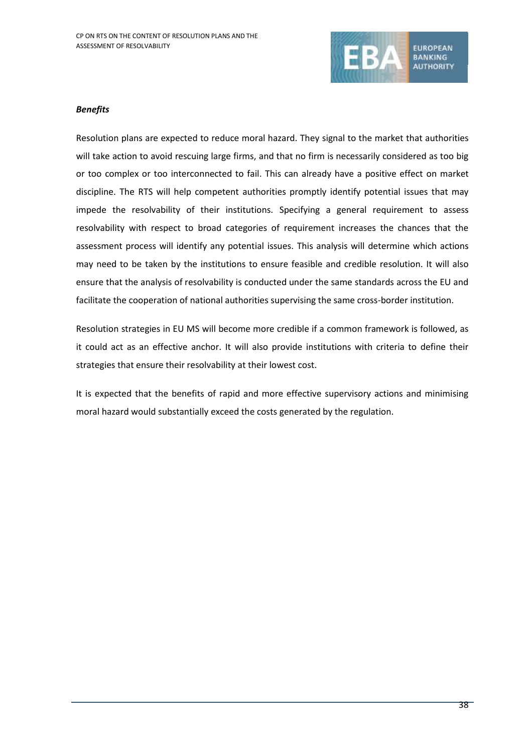

## *Benefits*

Resolution plans are expected to reduce moral hazard. They signal to the market that authorities will take action to avoid rescuing large firms, and that no firm is necessarily considered as too big or too complex or too interconnected to fail. This can already have a positive effect on market discipline. The RTS will help competent authorities promptly identify potential issues that may impede the resolvability of their institutions. Specifying a general requirement to assess resolvability with respect to broad categories of requirement increases the chances that the assessment process will identify any potential issues. This analysis will determine which actions may need to be taken by the institutions to ensure feasible and credible resolution. It will also ensure that the analysis of resolvability is conducted under the same standards across the EU and facilitate the cooperation of national authorities supervising the same cross-border institution.

Resolution strategies in EU MS will become more credible if a common framework is followed, as it could act as an effective anchor. It will also provide institutions with criteria to define their strategies that ensure their resolvability at their lowest cost.

It is expected that the benefits of rapid and more effective supervisory actions and minimising moral hazard would substantially exceed the costs generated by the regulation.